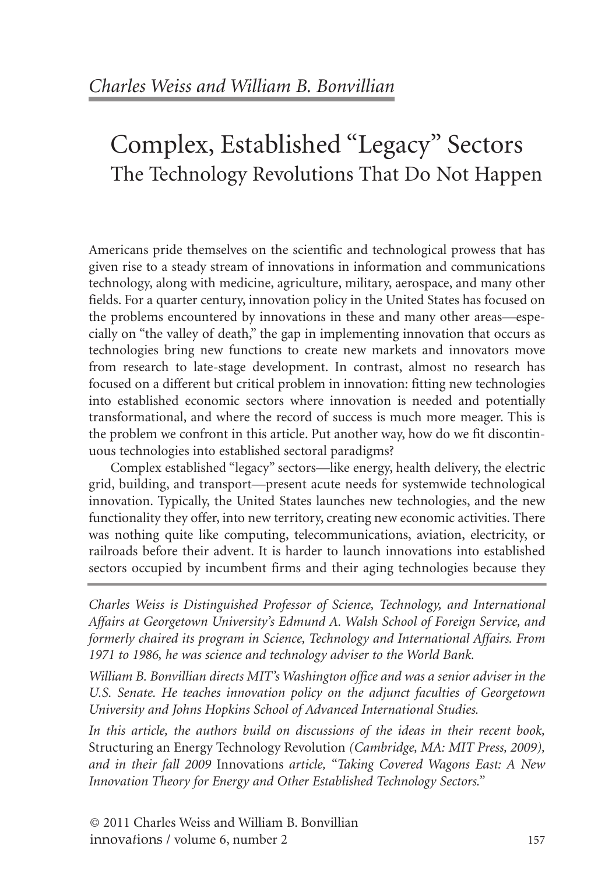# Complex, Established "Legacy" Sectors The Technology Revolutions That Do Not Happen

Americans pride themselves on the scientific and technological prowess that has given rise to a steady stream of innovations in information and communications technology, along with medicine, agriculture, military, aerospace, and many other fields. For a quarter century, innovation policy in the United States has focused on the problems encountered by innovations in these and many other areas—especially on "the valley of death," the gap in implementing innovation that occurs as technologies bring new functions to create new markets and innovators move from research to late-stage development. In contrast, almost no research has focused on a different but critical problem in innovation: fitting new technologies into established economic sectors where innovation is needed and potentially transformational, and where the record of success is much more meager. This is the problem we confront in this article. Put another way, how do we fit discontinuous technologies into established sectoral paradigms?

Complex established "legacy" sectors—like energy, health delivery, the electric grid, building, and transport—present acute needs for systemwide technological innovation. Typically, the United States launches new technologies, and the new functionality they offer, into new territory, creating new economic activities. There was nothing quite like computing, telecommunications, aviation, electricity, or railroads before their advent. It is harder to launch innovations into established sectors occupied by incumbent firms and their aging technologies because they

*Charles Weiss is Distinguished Professor of Science, Technology, and International Affairs at Georgetown University's Edmund A. Walsh School of Foreign Service, and formerly chaired its program in Science, Technology and International Affairs. From 1971 to 1986, he was science and technology adviser to the World Bank.*

*William B. Bonvillian directs MIT's Washington office and was a senior adviser in the U.S. Senate. He teaches innovation policy on the adjunct faculties of Georgetown University and Johns Hopkins School of Advanced International Studies.*

*In this article, the authors build on discussions of the ideas in their recent book,* Structuring an Energy Technology Revolution *(Cambridge, MA: MIT Press, 2009), and in their fall 2009* Innovations *article, "Taking Covered Wagons East: A New Innovation Theory for Energy and Other Established Technology Sectors."*

© 2011 Charles Weiss and William B. Bonvillian innova*t*ions / volume 6, number 2 <sup>157</sup>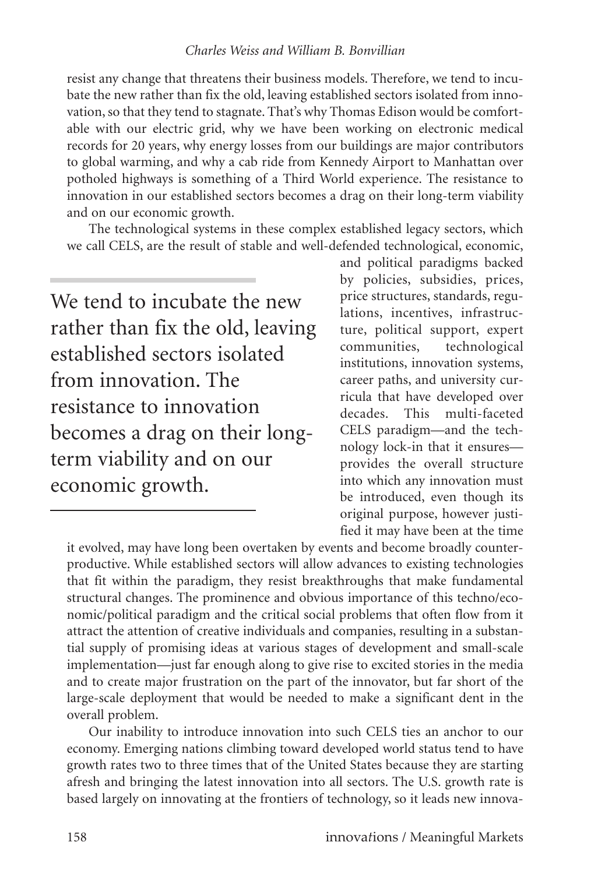resist any change that threatens their business models. Therefore, we tend to incubate the new rather than fix the old, leaving established sectors isolated from innovation, so that they tend to stagnate. That's why Thomas Edison would be comfortable with our electric grid, why we have been working on electronic medical records for 20 years, why energy losses from our buildings are major contributors to global warming, and why a cab ride from Kennedy Airport to Manhattan over potholed highways is something of a Third World experience. The resistance to innovation in our established sectors becomes a drag on their long-term viability and on our economic growth.

The technological systems in these complex established legacy sectors, which we call CELS, are the result of stable and well-defended technological, economic,

We tend to incubate the new rather than fix the old, leaving established sectors isolated from innovation. The resistance to innovation becomes a drag on their longterm viability and on our economic growth.

and political paradigms backed by policies, subsidies, prices, price structures, standards, regulations, incentives, infrastructure, political support, expert communities, technological institutions, innovation systems, career paths, and university curricula that have developed over decades. This multi-faceted CELS paradigm—and the technology lock-in that it ensures provides the overall structure into which any innovation must be introduced, even though its original purpose, however justified it may have been at the time

it evolved, may have long been overtaken by events and become broadly counterproductive. While established sectors will allow advances to existing technologies that fit within the paradigm, they resist breakthroughs that make fundamental structural changes. The prominence and obvious importance of this techno/economic/political paradigm and the critical social problems that often flow from it attract the attention of creative individuals and companies, resulting in a substantial supply of promising ideas at various stages of development and small-scale implementation—just far enough along to give rise to excited stories in the media and to create major frustration on the part of the innovator, but far short of the large-scale deployment that would be needed to make a significant dent in the overall problem.

Our inability to introduce innovation into such CELS ties an anchor to our economy. Emerging nations climbing toward developed world status tend to have growth rates two to three times that of the United States because they are starting afresh and bringing the latest innovation into all sectors. The U.S. growth rate is based largely on innovating at the frontiers of technology, so it leads new innova-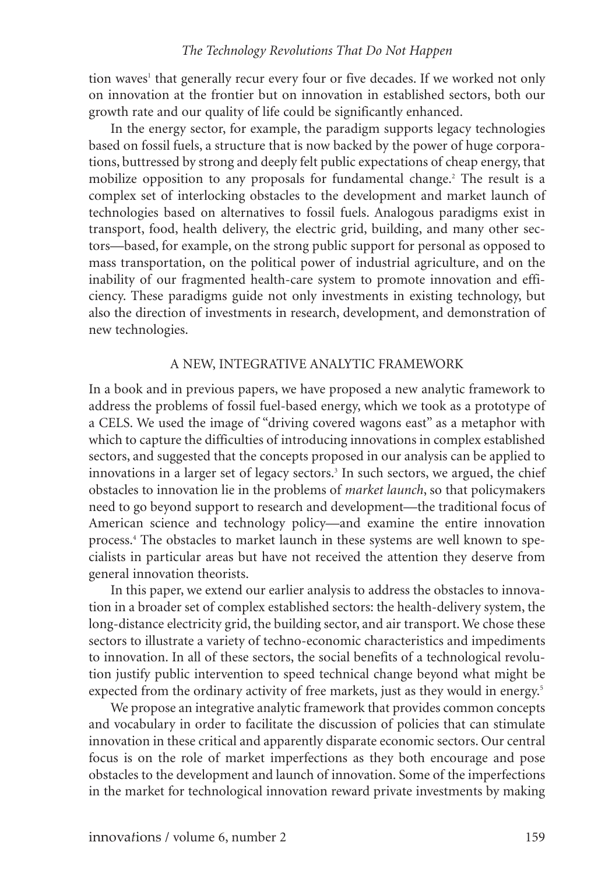tion waves<sup>1</sup> that generally recur every four or five decades. If we worked not only on innovation at the frontier but on innovation in established sectors, both our growth rate and our quality of life could be significantly enhanced.

In the energy sector, for example, the paradigm supports legacy technologies based on fossil fuels, a structure that is now backed by the power of huge corporations, buttressed by strong and deeply felt public expectations of cheap energy, that mobilize opposition to any proposals for fundamental change.<sup>2</sup> The result is a complex set of interlocking obstacles to the development and market launch of technologies based on alternatives to fossil fuels. Analogous paradigms exist in transport, food, health delivery, the electric grid, building, and many other sectors—based, for example, on the strong public support for personal as opposed to mass transportation, on the political power of industrial agriculture, and on the inability of our fragmented health-care system to promote innovation and efficiency. These paradigms guide not only investments in existing technology, but also the direction of investments in research, development, and demonstration of new technologies.

#### A NEW, INTEGRATIVE ANALYTIC FRAMEWORK

In a book and in previous papers, we have proposed a new analytic framework to address the problems of fossil fuel-based energy, which we took as a prototype of a CELS. We used the image of "driving covered wagons east" as a metaphor with which to capture the difficulties of introducing innovations in complex established sectors, and suggested that the concepts proposed in our analysis can be applied to innovations in a larger set of legacy sectors.<sup>3</sup> In such sectors, we argued, the chief obstacles to innovation lie in the problems of *market launch*, so that policymakers need to go beyond support to research and development—the traditional focus of American science and technology policy—and examine the entire innovation process.4 The obstacles to market launch in these systems are well known to specialists in particular areas but have not received the attention they deserve from general innovation theorists.

In this paper, we extend our earlier analysis to address the obstacles to innovation in a broader set of complex established sectors: the health-delivery system, the long-distance electricity grid, the building sector, and air transport. We chose these sectors to illustrate a variety of techno-economic characteristics and impediments to innovation. In all of these sectors, the social benefits of a technological revolution justify public intervention to speed technical change beyond what might be expected from the ordinary activity of free markets, just as they would in energy.<sup>5</sup>

We propose an integrative analytic framework that provides common concepts and vocabulary in order to facilitate the discussion of policies that can stimulate innovation in these critical and apparently disparate economic sectors. Our central focus is on the role of market imperfections as they both encourage and pose obstacles to the development and launch of innovation. Some of the imperfections in the market for technological innovation reward private investments by making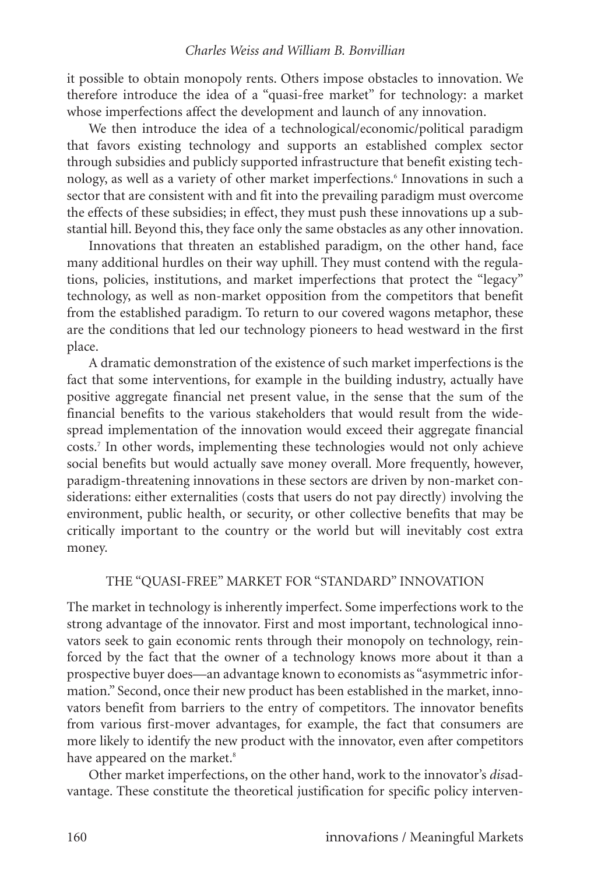it possible to obtain monopoly rents. Others impose obstacles to innovation. We therefore introduce the idea of a "quasi-free market" for technology: a market whose imperfections affect the development and launch of any innovation.

We then introduce the idea of a technological/economic/political paradigm that favors existing technology and supports an established complex sector through subsidies and publicly supported infrastructure that benefit existing technology, as well as a variety of other market imperfections.<sup>6</sup> Innovations in such a sector that are consistent with and fit into the prevailing paradigm must overcome the effects of these subsidies; in effect, they must push these innovations up a substantial hill. Beyond this, they face only the same obstacles as any other innovation.

Innovations that threaten an established paradigm, on the other hand, face many additional hurdles on their way uphill. They must contend with the regulations, policies, institutions, and market imperfections that protect the "legacy" technology, as well as non-market opposition from the competitors that benefit from the established paradigm. To return to our covered wagons metaphor, these are the conditions that led our technology pioneers to head westward in the first place.

A dramatic demonstration of the existence of such market imperfections is the fact that some interventions, for example in the building industry, actually have positive aggregate financial net present value, in the sense that the sum of the financial benefits to the various stakeholders that would result from the widespread implementation of the innovation would exceed their aggregate financial costs.7 In other words, implementing these technologies would not only achieve social benefits but would actually save money overall. More frequently, however, paradigm-threatening innovations in these sectors are driven by non-market considerations: either externalities (costs that users do not pay directly) involving the environment, public health, or security, or other collective benefits that may be critically important to the country or the world but will inevitably cost extra money.

# THE "QUASI-FREE" MARKET FOR "STANDARD" INNOVATION

The market in technology is inherently imperfect. Some imperfections work to the strong advantage of the innovator. First and most important, technological innovators seek to gain economic rents through their monopoly on technology, reinforced by the fact that the owner of a technology knows more about it than a prospective buyer does—an advantage known to economists as "asymmetric information." Second, once their new product has been established in the market, innovators benefit from barriers to the entry of competitors. The innovator benefits from various first-mover advantages, for example, the fact that consumers are more likely to identify the new product with the innovator, even after competitors have appeared on the market.<sup>8</sup>

Other market imperfections, on the other hand, work to the innovator's *dis*advantage. These constitute the theoretical justification for specific policy interven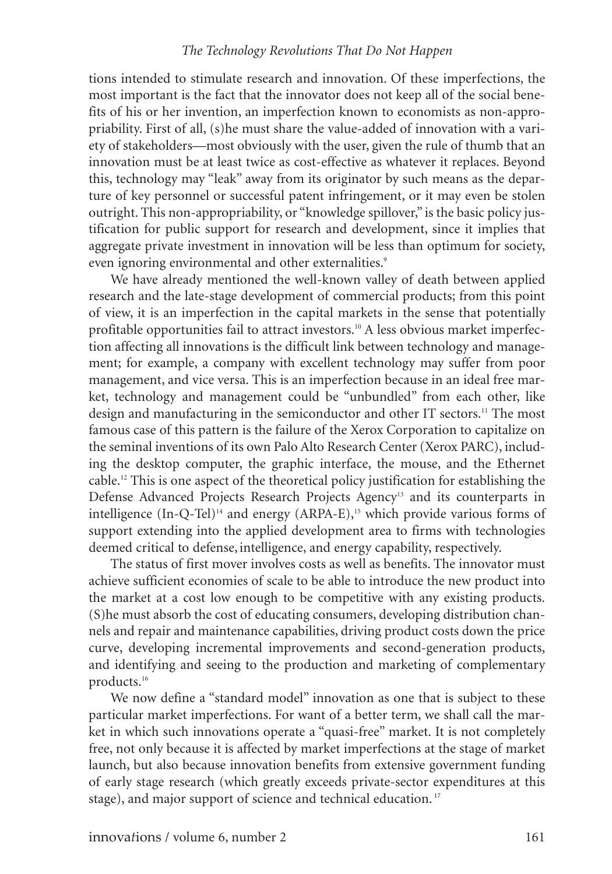tions intended to stimulate research and innovation. Of these imperfections, the most important is the fact that the innovator does not keep all of the social benefits of his or her invention, an imperfection known to economists as non-appropriability. First of all, (s)he must share the value-added of innovation with a variety of stakeholders—most obviously with the user, given the rule of thumb that an innovation must be at least twice as cost-effective as whatever it replaces. Beyond this, technology may "leak" away from its originator by such means as the departure of key personnel or successful patent infringement, or it may even be stolen outright. This non-appropriability, or "knowledge spillover," is the basic policy justification for public support for research and development, since it implies that aggregate private investment in innovation will be less than optimum for society, even ignoring environmental and other externalities.<sup>9</sup>

We have already mentioned the well-known valley of death between applied research and the late-stage development of commercial products; from this point of view, it is an imperfection in the capital markets in the sense that potentially profitable opportunities fail to attract investors.<sup>10</sup> A less obvious market imperfection affecting all innovations is the difficult link between technology and management; for example, a company with excellent technology may suffer from poor management, and vice versa. This is an imperfection because in an ideal free market, technology and management could be "unbundled" from each other, like design and manufacturing in the semiconductor and other IT sectors.<sup>11</sup> The most famous case of this pattern is the failure of the Xerox Corporation to capitalize on the seminal inventions of its own Palo Alto Research Center (Xerox PARC), including the desktop computer, the graphic interface, the mouse, and the Ethernet cable.12 This is one aspect of the theoretical policy justification for establishing the Defense Advanced Projects Research Projects Agency<sup>13</sup> and its counterparts in intelligence (In-Q-Tel)<sup>14</sup> and energy (ARPA-E),<sup>15</sup> which provide various forms of support extending into the applied development area to firms with technologies deemed critical to defense, intelligence, and energy capability, respectively.

The status of first mover involves costs as well as benefits. The innovator must achieve sufficient economies of scale to be able to introduce the new product into the market at a cost low enough to be competitive with any existing products. (S)he must absorb the cost of educating consumers, developing distribution channels and repair and maintenance capabilities, driving product costs down the price curve, developing incremental improvements and second-generation products, and identifying and seeing to the production and marketing of complementary products.16

We now define a "standard model" innovation as one that is subject to these particular market imperfections. For want of a better term, we shall call the market in which such innovations operate a "quasi-free" market. It is not completely free, not only because it is affected by market imperfections at the stage of market launch, but also because innovation benefits from extensive government funding of early stage research (which greatly exceeds private-sector expenditures at this stage), and major support of science and technical education.<sup>17</sup>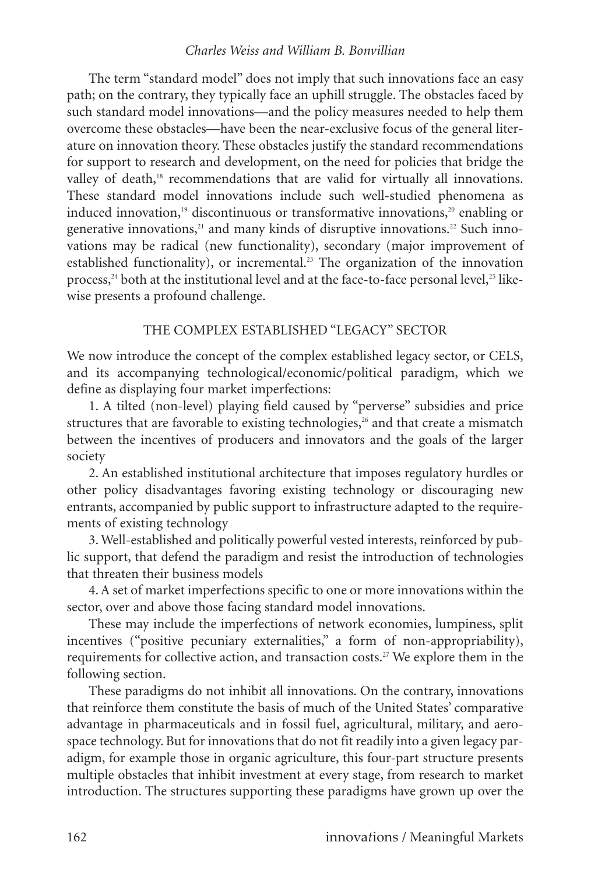The term "standard model" does not imply that such innovations face an easy path; on the contrary, they typically face an uphill struggle. The obstacles faced by such standard model innovations—and the policy measures needed to help them overcome these obstacles—have been the near-exclusive focus of the general literature on innovation theory. These obstacles justify the standard recommendations for support to research and development, on the need for policies that bridge the valley of death,<sup>18</sup> recommendations that are valid for virtually all innovations. These standard model innovations include such well-studied phenomena as induced innovation,<sup>19</sup> discontinuous or transformative innovations,<sup>20</sup> enabling or generative innovations,<sup>21</sup> and many kinds of disruptive innovations.<sup>22</sup> Such innovations may be radical (new functionality), secondary (major improvement of established functionality), or incremental.<sup>23</sup> The organization of the innovation process,<sup>24</sup> both at the institutional level and at the face-to-face personal level,<sup>25</sup> likewise presents a profound challenge.

# THE COMPLEX ESTABLISHED "LEGACY" SECTOR

We now introduce the concept of the complex established legacy sector, or CELS, and its accompanying technological/economic/political paradigm, which we define as displaying four market imperfections:

1. A tilted (non-level) playing field caused by "perverse" subsidies and price structures that are favorable to existing technologies,<sup>26</sup> and that create a mismatch between the incentives of producers and innovators and the goals of the larger society

2. An established institutional architecture that imposes regulatory hurdles or other policy disadvantages favoring existing technology or discouraging new entrants, accompanied by public support to infrastructure adapted to the requirements of existing technology

3. Well-established and politically powerful vested interests, reinforced by public support, that defend the paradigm and resist the introduction of technologies that threaten their business models

4. A set of market imperfections specific to one or more innovations within the sector, over and above those facing standard model innovations.

These may include the imperfections of network economies, lumpiness, split incentives ("positive pecuniary externalities," a form of non-appropriability), requirements for collective action, and transaction costs.27 We explore them in the following section.

These paradigms do not inhibit all innovations. On the contrary, innovations that reinforce them constitute the basis of much of the United States' comparative advantage in pharmaceuticals and in fossil fuel, agricultural, military, and aerospace technology. But for innovations that do not fit readily into a given legacy paradigm, for example those in organic agriculture, this four-part structure presents multiple obstacles that inhibit investment at every stage, from research to market introduction. The structures supporting these paradigms have grown up over the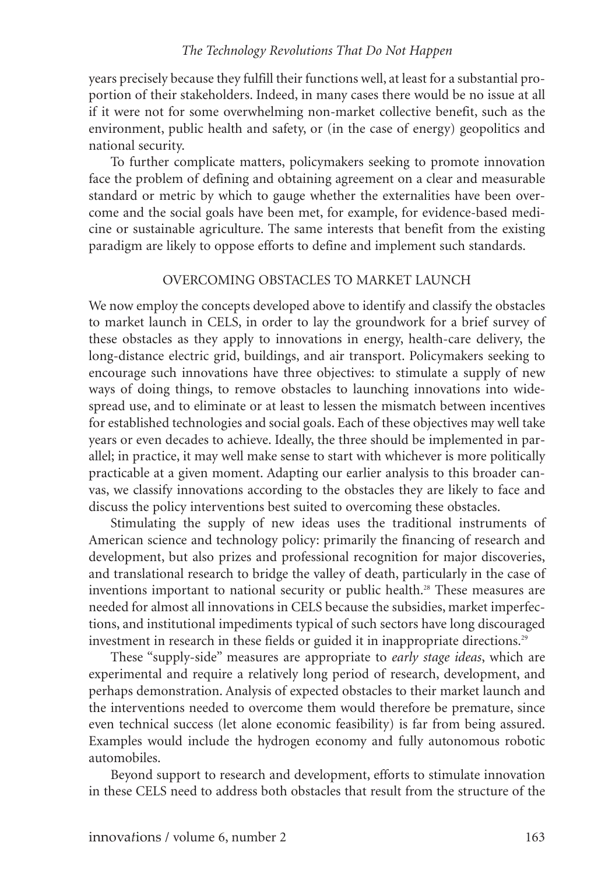years precisely because they fulfill their functions well, at least for a substantial proportion of their stakeholders. Indeed, in many cases there would be no issue at all if it were not for some overwhelming non-market collective benefit, such as the environment, public health and safety, or (in the case of energy) geopolitics and national security.

To further complicate matters, policymakers seeking to promote innovation face the problem of defining and obtaining agreement on a clear and measurable standard or metric by which to gauge whether the externalities have been overcome and the social goals have been met, for example, for evidence-based medicine or sustainable agriculture. The same interests that benefit from the existing paradigm are likely to oppose efforts to define and implement such standards.

## OVERCOMING OBSTACLES TO MARKET LAUNCH

We now employ the concepts developed above to identify and classify the obstacles to market launch in CELS, in order to lay the groundwork for a brief survey of these obstacles as they apply to innovations in energy, health-care delivery, the long-distance electric grid, buildings, and air transport. Policymakers seeking to encourage such innovations have three objectives: to stimulate a supply of new ways of doing things, to remove obstacles to launching innovations into widespread use, and to eliminate or at least to lessen the mismatch between incentives for established technologies and social goals. Each of these objectives may well take years or even decades to achieve. Ideally, the three should be implemented in parallel; in practice, it may well make sense to start with whichever is more politically practicable at a given moment. Adapting our earlier analysis to this broader canvas, we classify innovations according to the obstacles they are likely to face and discuss the policy interventions best suited to overcoming these obstacles.

Stimulating the supply of new ideas uses the traditional instruments of American science and technology policy: primarily the financing of research and development, but also prizes and professional recognition for major discoveries, and translational research to bridge the valley of death, particularly in the case of inventions important to national security or public health.<sup>28</sup> These measures are needed for almost all innovations in CELS because the subsidies, market imperfections, and institutional impediments typical of such sectors have long discouraged investment in research in these fields or guided it in inappropriate directions.<sup>29</sup>

These "supply-side" measures are appropriate to *early stage ideas*, which are experimental and require a relatively long period of research, development, and perhaps demonstration. Analysis of expected obstacles to their market launch and the interventions needed to overcome them would therefore be premature, since even technical success (let alone economic feasibility) is far from being assured. Examples would include the hydrogen economy and fully autonomous robotic automobiles.

Beyond support to research and development, efforts to stimulate innovation in these CELS need to address both obstacles that result from the structure of the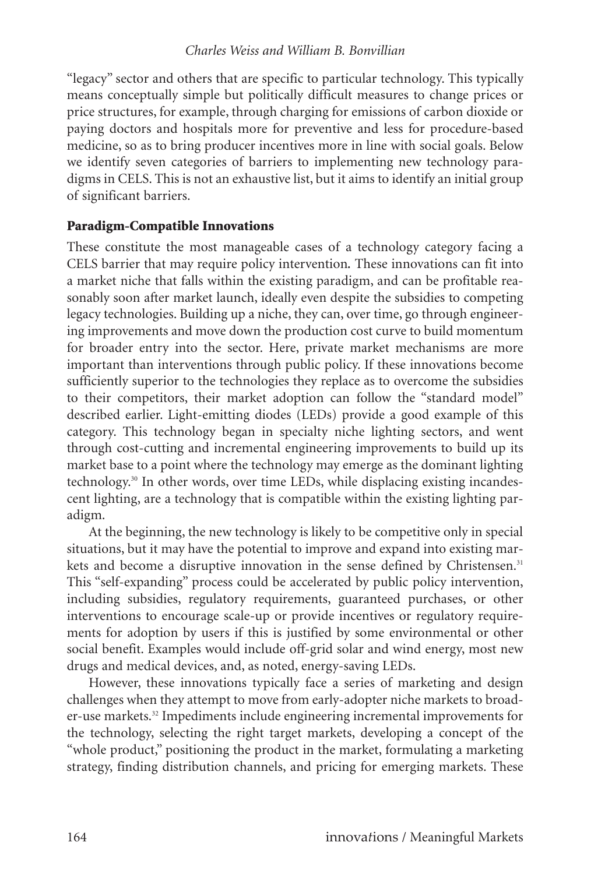"legacy" sector and others that are specific to particular technology. This typically means conceptually simple but politically difficult measures to change prices or price structures, for example, through charging for emissions of carbon dioxide or paying doctors and hospitals more for preventive and less for procedure-based medicine, so as to bring producer incentives more in line with social goals. Below we identify seven categories of barriers to implementing new technology paradigms in CELS. This is not an exhaustive list, but it aims to identify an initial group of significant barriers.

# **Paradigm-Compatible Innovations**

These constitute the most manageable cases of a technology category facing a CELS barrier that may require policy intervention*.* These innovations can fit into a market niche that falls within the existing paradigm, and can be profitable reasonably soon after market launch, ideally even despite the subsidies to competing legacy technologies. Building up a niche, they can, over time, go through engineering improvements and move down the production cost curve to build momentum for broader entry into the sector. Here, private market mechanisms are more important than interventions through public policy. If these innovations become sufficiently superior to the technologies they replace as to overcome the subsidies to their competitors, their market adoption can follow the "standard model" described earlier. Light-emitting diodes (LEDs) provide a good example of this category. This technology began in specialty niche lighting sectors, and went through cost-cutting and incremental engineering improvements to build up its market base to a point where the technology may emerge as the dominant lighting technology.<sup>30</sup> In other words, over time LEDs, while displacing existing incandescent lighting, are a technology that is compatible within the existing lighting paradigm.

At the beginning, the new technology is likely to be competitive only in special situations, but it may have the potential to improve and expand into existing markets and become a disruptive innovation in the sense defined by Christensen.<sup>31</sup> This "self-expanding" process could be accelerated by public policy intervention, including subsidies, regulatory requirements, guaranteed purchases, or other interventions to encourage scale-up or provide incentives or regulatory requirements for adoption by users if this is justified by some environmental or other social benefit. Examples would include off-grid solar and wind energy, most new drugs and medical devices, and, as noted, energy-saving LEDs.

However, these innovations typically face a series of marketing and design challenges when they attempt to move from early-adopter niche markets to broader-use markets.<sup>32</sup> Impediments include engineering incremental improvements for the technology, selecting the right target markets, developing a concept of the "whole product," positioning the product in the market, formulating a marketing strategy, finding distribution channels, and pricing for emerging markets. These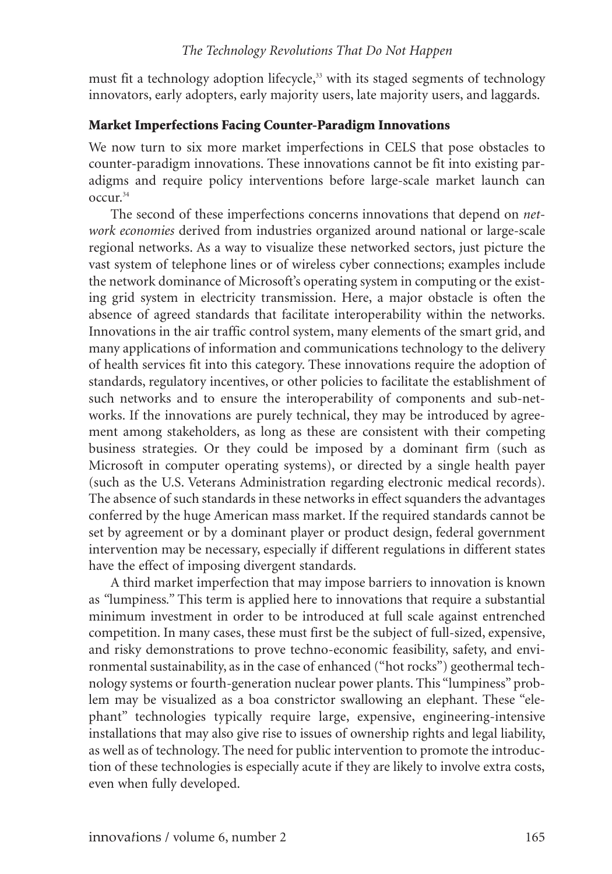must fit a technology adoption lifecycle,<sup>33</sup> with its staged segments of technology innovators, early adopters, early majority users, late majority users, and laggards.

# **Market Imperfections Facing Counter-Paradigm Innovations**

We now turn to six more market imperfections in CELS that pose obstacles to counter-paradigm innovations. These innovations cannot be fit into existing paradigms and require policy interventions before large-scale market launch can occur.34

The second of these imperfections concerns innovations that depend on *network economies* derived from industries organized around national or large-scale regional networks. As a way to visualize these networked sectors, just picture the vast system of telephone lines or of wireless cyber connections; examples include the network dominance of Microsoft's operating system in computing or the existing grid system in electricity transmission. Here, a major obstacle is often the absence of agreed standards that facilitate interoperability within the networks. Innovations in the air traffic control system, many elements of the smart grid, and many applications of information and communications technology to the delivery of health services fit into this category. These innovations require the adoption of standards, regulatory incentives, or other policies to facilitate the establishment of such networks and to ensure the interoperability of components and sub-networks. If the innovations are purely technical, they may be introduced by agreement among stakeholders, as long as these are consistent with their competing business strategies. Or they could be imposed by a dominant firm (such as Microsoft in computer operating systems), or directed by a single health payer (such as the U.S. Veterans Administration regarding electronic medical records). The absence of such standards in these networks in effect squanders the advantages conferred by the huge American mass market. If the required standards cannot be set by agreement or by a dominant player or product design, federal government intervention may be necessary, especially if different regulations in different states have the effect of imposing divergent standards.

A third market imperfection that may impose barriers to innovation is known as *"*lumpiness*."* This term is applied here to innovations that require a substantial minimum investment in order to be introduced at full scale against entrenched competition. In many cases, these must first be the subject of full-sized, expensive, and risky demonstrations to prove techno-economic feasibility, safety, and environmental sustainability, as in the case of enhanced ("hot rocks") geothermal technology systems or fourth-generation nuclear power plants. This "lumpiness" problem may be visualized as a boa constrictor swallowing an elephant. These "elephant" technologies typically require large, expensive, engineering-intensive installations that may also give rise to issues of ownership rights and legal liability, as well as of technology. The need for public intervention to promote the introduction of these technologies is especially acute if they are likely to involve extra costs, even when fully developed.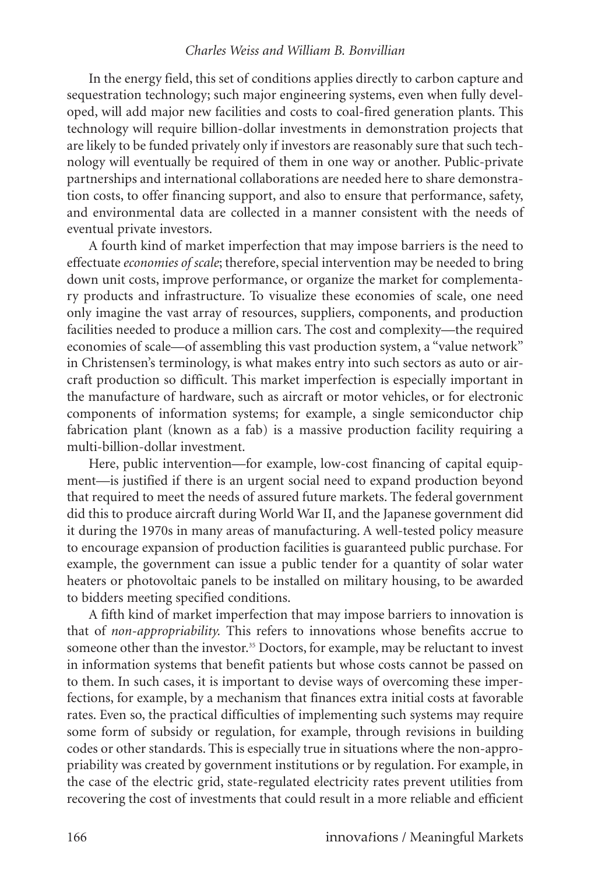In the energy field, this set of conditions applies directly to carbon capture and sequestration technology; such major engineering systems, even when fully developed, will add major new facilities and costs to coal-fired generation plants. This technology will require billion-dollar investments in demonstration projects that are likely to be funded privately only if investors are reasonably sure that such technology will eventually be required of them in one way or another. Public-private partnerships and international collaborations are needed here to share demonstration costs, to offer financing support, and also to ensure that performance, safety, and environmental data are collected in a manner consistent with the needs of eventual private investors.

A fourth kind of market imperfection that may impose barriers is the need to effectuate *economies of scale*; therefore, special intervention may be needed to bring down unit costs, improve performance, or organize the market for complementary products and infrastructure. To visualize these economies of scale, one need only imagine the vast array of resources, suppliers, components, and production facilities needed to produce a million cars. The cost and complexity—the required economies of scale—of assembling this vast production system, a "value network" in Christensen's terminology, is what makes entry into such sectors as auto or aircraft production so difficult. This market imperfection is especially important in the manufacture of hardware, such as aircraft or motor vehicles, or for electronic components of information systems; for example, a single semiconductor chip fabrication plant (known as a fab) is a massive production facility requiring a multi-billion-dollar investment.

Here, public intervention—for example, low-cost financing of capital equipment—is justified if there is an urgent social need to expand production beyond that required to meet the needs of assured future markets. The federal government did this to produce aircraft during World War II, and the Japanese government did it during the 1970s in many areas of manufacturing. A well-tested policy measure to encourage expansion of production facilities is guaranteed public purchase. For example, the government can issue a public tender for a quantity of solar water heaters or photovoltaic panels to be installed on military housing, to be awarded to bidders meeting specified conditions.

A fifth kind of market imperfection that may impose barriers to innovation is that of *non-appropriability.* This refers to innovations whose benefits accrue to someone other than the investor.<sup>35</sup> Doctors, for example, may be reluctant to invest in information systems that benefit patients but whose costs cannot be passed on to them. In such cases, it is important to devise ways of overcoming these imperfections, for example, by a mechanism that finances extra initial costs at favorable rates. Even so, the practical difficulties of implementing such systems may require some form of subsidy or regulation, for example, through revisions in building codes or other standards. This is especially true in situations where the non-appropriability was created by government institutions or by regulation. For example, in the case of the electric grid, state-regulated electricity rates prevent utilities from recovering the cost of investments that could result in a more reliable and efficient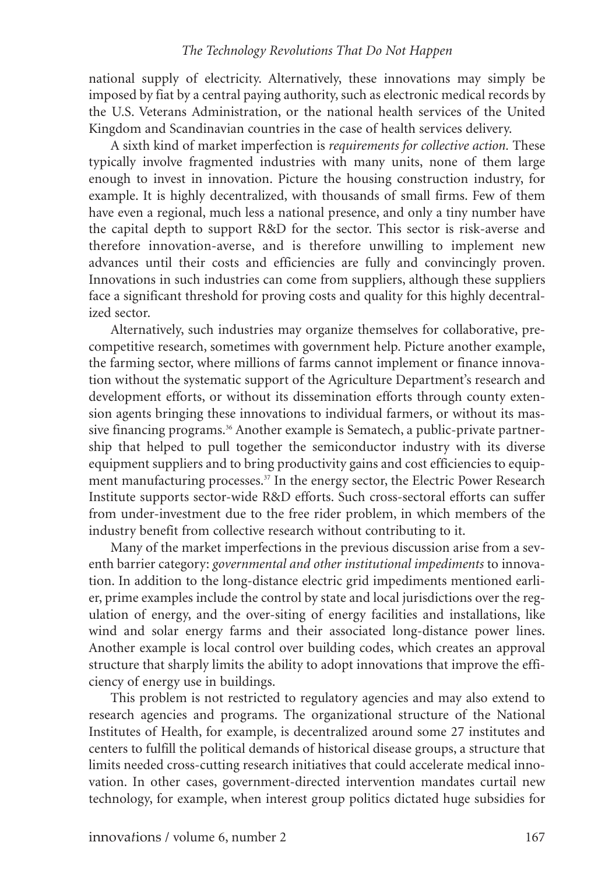national supply of electricity. Alternatively, these innovations may simply be imposed by fiat by a central paying authority, such as electronic medical records by the U.S. Veterans Administration, or the national health services of the United Kingdom and Scandinavian countries in the case of health services delivery.

A sixth kind of market imperfection is *requirements for collective action.* These typically involve fragmented industries with many units, none of them large enough to invest in innovation. Picture the housing construction industry, for example. It is highly decentralized, with thousands of small firms. Few of them have even a regional, much less a national presence, and only a tiny number have the capital depth to support R&D for the sector. This sector is risk-averse and therefore innovation-averse, and is therefore unwilling to implement new advances until their costs and efficiencies are fully and convincingly proven. Innovations in such industries can come from suppliers, although these suppliers face a significant threshold for proving costs and quality for this highly decentralized sector.

Alternatively, such industries may organize themselves for collaborative, precompetitive research, sometimes with government help. Picture another example, the farming sector, where millions of farms cannot implement or finance innovation without the systematic support of the Agriculture Department's research and development efforts, or without its dissemination efforts through county extension agents bringing these innovations to individual farmers, or without its massive financing programs.<sup>36</sup> Another example is Sematech, a public-private partnership that helped to pull together the semiconductor industry with its diverse equipment suppliers and to bring productivity gains and cost efficiencies to equipment manufacturing processes.<sup>37</sup> In the energy sector, the Electric Power Research Institute supports sector-wide R&D efforts. Such cross-sectoral efforts can suffer from under-investment due to the free rider problem, in which members of the industry benefit from collective research without contributing to it.

Many of the market imperfections in the previous discussion arise from a seventh barrier category: *governmental and other institutional impediments* to innovation. In addition to the long-distance electric grid impediments mentioned earlier, prime examples include the control by state and local jurisdictions over the regulation of energy, and the over-siting of energy facilities and installations, like wind and solar energy farms and their associated long-distance power lines. Another example is local control over building codes, which creates an approval structure that sharply limits the ability to adopt innovations that improve the efficiency of energy use in buildings.

This problem is not restricted to regulatory agencies and may also extend to research agencies and programs. The organizational structure of the National Institutes of Health, for example, is decentralized around some 27 institutes and centers to fulfill the political demands of historical disease groups, a structure that limits needed cross-cutting research initiatives that could accelerate medical innovation. In other cases, government-directed intervention mandates curtail new technology, for example, when interest group politics dictated huge subsidies for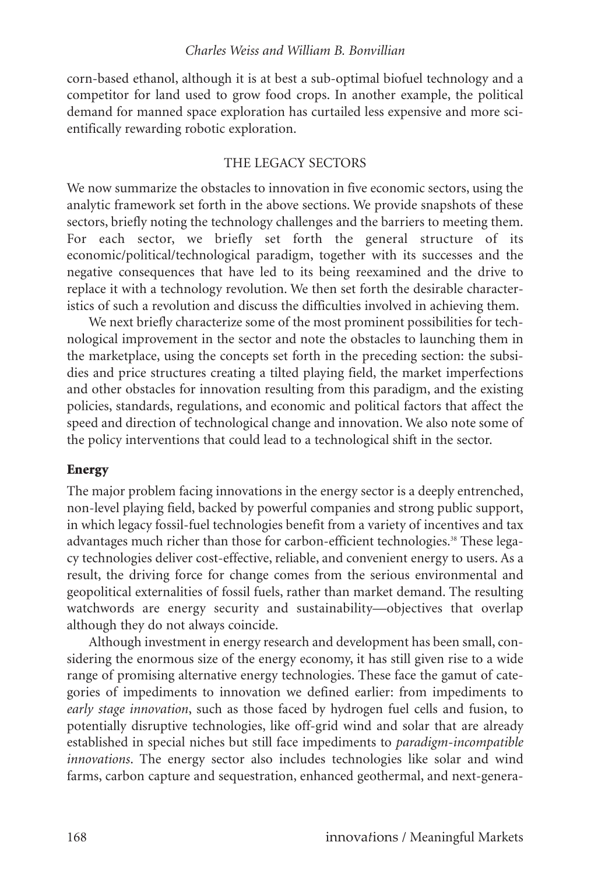corn-based ethanol, although it is at best a sub-optimal biofuel technology and a competitor for land used to grow food crops. In another example, the political demand for manned space exploration has curtailed less expensive and more scientifically rewarding robotic exploration.

# THE LEGACY SECTORS

We now summarize the obstacles to innovation in five economic sectors, using the analytic framework set forth in the above sections. We provide snapshots of these sectors, briefly noting the technology challenges and the barriers to meeting them. For each sector, we briefly set forth the general structure of its economic/political/technological paradigm, together with its successes and the negative consequences that have led to its being reexamined and the drive to replace it with a technology revolution. We then set forth the desirable characteristics of such a revolution and discuss the difficulties involved in achieving them.

We next briefly characterize some of the most prominent possibilities for technological improvement in the sector and note the obstacles to launching them in the marketplace, using the concepts set forth in the preceding section: the subsidies and price structures creating a tilted playing field, the market imperfections and other obstacles for innovation resulting from this paradigm, and the existing policies, standards, regulations, and economic and political factors that affect the speed and direction of technological change and innovation. We also note some of the policy interventions that could lead to a technological shift in the sector.

## **Energy**

The major problem facing innovations in the energy sector is a deeply entrenched, non-level playing field, backed by powerful companies and strong public support, in which legacy fossil-fuel technologies benefit from a variety of incentives and tax advantages much richer than those for carbon-efficient technologies.<sup>38</sup> These legacy technologies deliver cost-effective, reliable, and convenient energy to users. As a result, the driving force for change comes from the serious environmental and geopolitical externalities of fossil fuels, rather than market demand. The resulting watchwords are energy security and sustainability—objectives that overlap although they do not always coincide.

Although investment in energy research and development has been small, considering the enormous size of the energy economy, it has still given rise to a wide range of promising alternative energy technologies. These face the gamut of categories of impediments to innovation we defined earlier: from impediments to *early stage innovation*, such as those faced by hydrogen fuel cells and fusion, to potentially disruptive technologies, like off-grid wind and solar that are already established in special niches but still face impediments to *paradigm-incompatible innovations*. The energy sector also includes technologies like solar and wind farms, carbon capture and sequestration, enhanced geothermal, and next-genera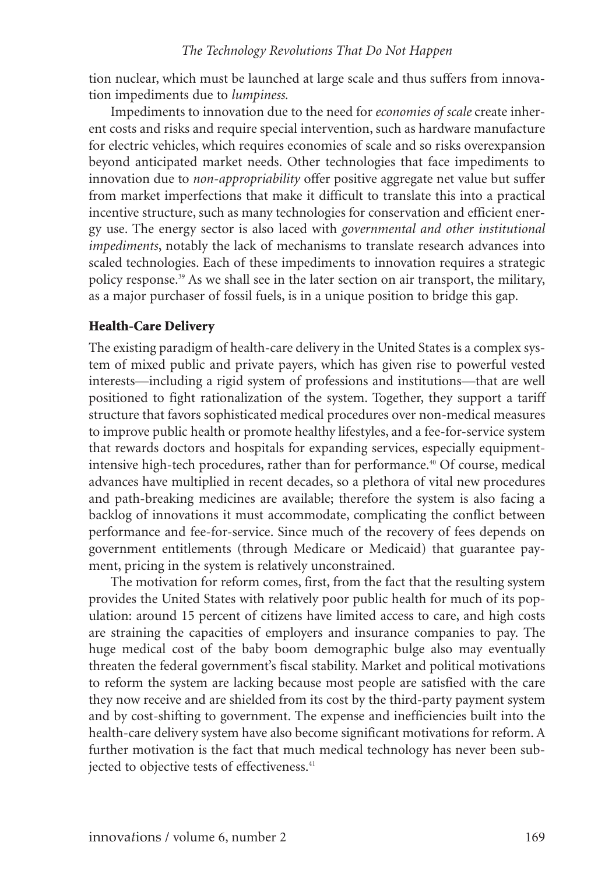tion nuclear, which must be launched at large scale and thus suffers from innovation impediments due to *lumpiness.* 

Impediments to innovation due to the need for *economies of scale* create inherent costs and risks and require special intervention, such as hardware manufacture for electric vehicles, which requires economies of scale and so risks overexpansion beyond anticipated market needs. Other technologies that face impediments to innovation due to *non-appropriability* offer positive aggregate net value but suffer from market imperfections that make it difficult to translate this into a practical incentive structure, such as many technologies for conservation and efficient energy use. The energy sector is also laced with *governmental and other institutional impediments*, notably the lack of mechanisms to translate research advances into scaled technologies. Each of these impediments to innovation requires a strategic policy response.<sup>39</sup> As we shall see in the later section on air transport, the military, as a major purchaser of fossil fuels, is in a unique position to bridge this gap.

# **Health-Care Delivery**

The existing paradigm of health-care delivery in the United States is a complex system of mixed public and private payers, which has given rise to powerful vested interests—including a rigid system of professions and institutions—that are well positioned to fight rationalization of the system. Together, they support a tariff structure that favors sophisticated medical procedures over non-medical measures to improve public health or promote healthy lifestyles, and a fee-for-service system that rewards doctors and hospitals for expanding services, especially equipmentintensive high-tech procedures, rather than for performance.<sup>40</sup> Of course, medical advances have multiplied in recent decades, so a plethora of vital new procedures and path-breaking medicines are available; therefore the system is also facing a backlog of innovations it must accommodate, complicating the conflict between performance and fee-for-service. Since much of the recovery of fees depends on government entitlements (through Medicare or Medicaid) that guarantee payment, pricing in the system is relatively unconstrained.

The motivation for reform comes, first, from the fact that the resulting system provides the United States with relatively poor public health for much of its population: around 15 percent of citizens have limited access to care, and high costs are straining the capacities of employers and insurance companies to pay. The huge medical cost of the baby boom demographic bulge also may eventually threaten the federal government's fiscal stability. Market and political motivations to reform the system are lacking because most people are satisfied with the care they now receive and are shielded from its cost by the third-party payment system and by cost-shifting to government. The expense and inefficiencies built into the health-care delivery system have also become significant motivations for reform. A further motivation is the fact that much medical technology has never been subjected to objective tests of effectiveness.<sup>41</sup>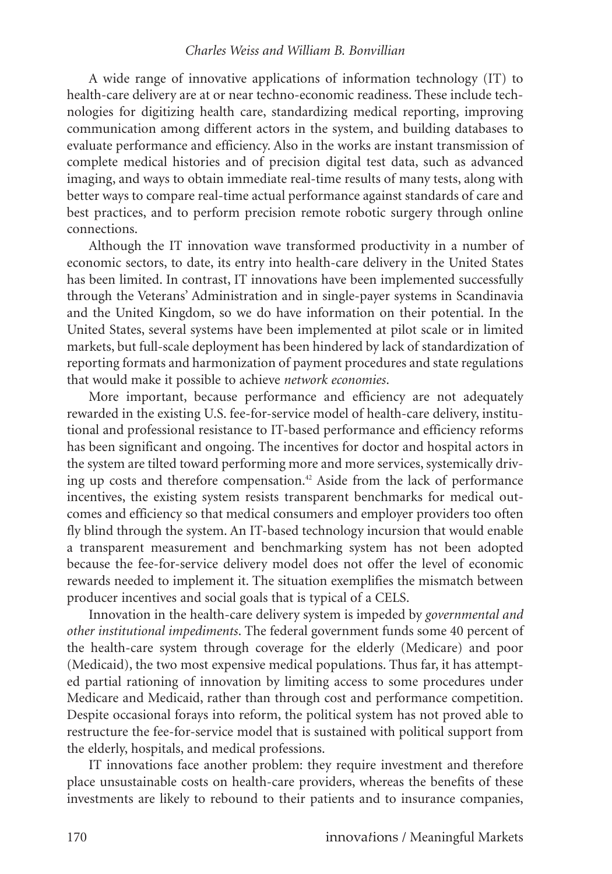A wide range of innovative applications of information technology (IT) to health-care delivery are at or near techno-economic readiness. These include technologies for digitizing health care, standardizing medical reporting, improving communication among different actors in the system, and building databases to evaluate performance and efficiency. Also in the works are instant transmission of complete medical histories and of precision digital test data, such as advanced imaging, and ways to obtain immediate real-time results of many tests, along with better ways to compare real-time actual performance against standards of care and best practices, and to perform precision remote robotic surgery through online connections.

Although the IT innovation wave transformed productivity in a number of economic sectors, to date, its entry into health-care delivery in the United States has been limited. In contrast, IT innovations have been implemented successfully through the Veterans' Administration and in single-payer systems in Scandinavia and the United Kingdom, so we do have information on their potential. In the United States, several systems have been implemented at pilot scale or in limited markets, but full-scale deployment has been hindered by lack of standardization of reporting formats and harmonization of payment procedures and state regulations that would make it possible to achieve *network economies*.

More important, because performance and efficiency are not adequately rewarded in the existing U.S. fee-for-service model of health-care delivery, institutional and professional resistance to IT-based performance and efficiency reforms has been significant and ongoing. The incentives for doctor and hospital actors in the system are tilted toward performing more and more services, systemically driving up costs and therefore compensation.<sup>42</sup> Aside from the lack of performance incentives, the existing system resists transparent benchmarks for medical outcomes and efficiency so that medical consumers and employer providers too often fly blind through the system. An IT-based technology incursion that would enable a transparent measurement and benchmarking system has not been adopted because the fee-for-service delivery model does not offer the level of economic rewards needed to implement it. The situation exemplifies the mismatch between producer incentives and social goals that is typical of a CELS.

Innovation in the health-care delivery system is impeded by *governmental and other institutional impediments*. The federal government funds some 40 percent of the health-care system through coverage for the elderly (Medicare) and poor (Medicaid), the two most expensive medical populations. Thus far, it has attempted partial rationing of innovation by limiting access to some procedures under Medicare and Medicaid, rather than through cost and performance competition. Despite occasional forays into reform, the political system has not proved able to restructure the fee-for-service model that is sustained with political support from the elderly, hospitals, and medical professions.

IT innovations face another problem: they require investment and therefore place unsustainable costs on health-care providers, whereas the benefits of these investments are likely to rebound to their patients and to insurance companies,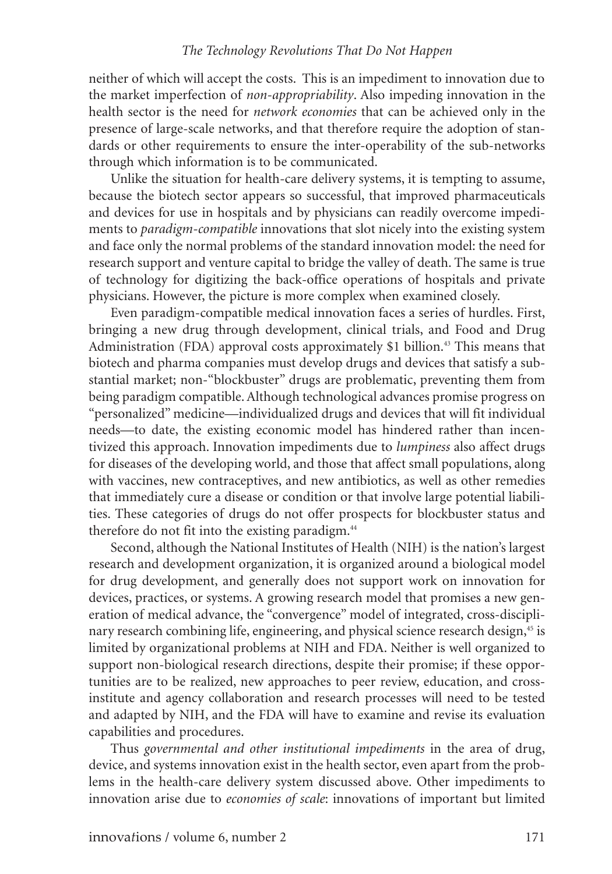neither of which will accept the costs. This is an impediment to innovation due to the market imperfection of *non-appropriability*. Also impeding innovation in the health sector is the need for *network economies* that can be achieved only in the presence of large-scale networks, and that therefore require the adoption of standards or other requirements to ensure the inter-operability of the sub-networks through which information is to be communicated.

Unlike the situation for health-care delivery systems, it is tempting to assume, because the biotech sector appears so successful, that improved pharmaceuticals and devices for use in hospitals and by physicians can readily overcome impediments to *paradigm-compatible* innovations that slot nicely into the existing system and face only the normal problems of the standard innovation model: the need for research support and venture capital to bridge the valley of death. The same is true of technology for digitizing the back-office operations of hospitals and private physicians. However, the picture is more complex when examined closely.

Even paradigm-compatible medical innovation faces a series of hurdles. First, bringing a new drug through development, clinical trials, and Food and Drug Administration (FDA) approval costs approximately \$1 billion.<sup>43</sup> This means that biotech and pharma companies must develop drugs and devices that satisfy a substantial market; non-"blockbuster" drugs are problematic, preventing them from being paradigm compatible. Although technological advances promise progress on "personalized" medicine—individualized drugs and devices that will fit individual needs—to date, the existing economic model has hindered rather than incentivized this approach. Innovation impediments due to *lumpiness* also affect drugs for diseases of the developing world, and those that affect small populations, along with vaccines, new contraceptives, and new antibiotics, as well as other remedies that immediately cure a disease or condition or that involve large potential liabilities. These categories of drugs do not offer prospects for blockbuster status and therefore do not fit into the existing paradigm.<sup>44</sup>

Second, although the National Institutes of Health (NIH) is the nation's largest research and development organization, it is organized around a biological model for drug development, and generally does not support work on innovation for devices, practices, or systems. A growing research model that promises a new generation of medical advance, the "convergence" model of integrated, cross-disciplinary research combining life, engineering, and physical science research design,<sup>45</sup> is limited by organizational problems at NIH and FDA. Neither is well organized to support non-biological research directions, despite their promise; if these opportunities are to be realized, new approaches to peer review, education, and crossinstitute and agency collaboration and research processes will need to be tested and adapted by NIH, and the FDA will have to examine and revise its evaluation capabilities and procedures.

Thus *governmental and other institutional impediments* in the area of drug, device, and systems innovation exist in the health sector, even apart from the problems in the health-care delivery system discussed above. Other impediments to innovation arise due to *economies of scale*: innovations of important but limited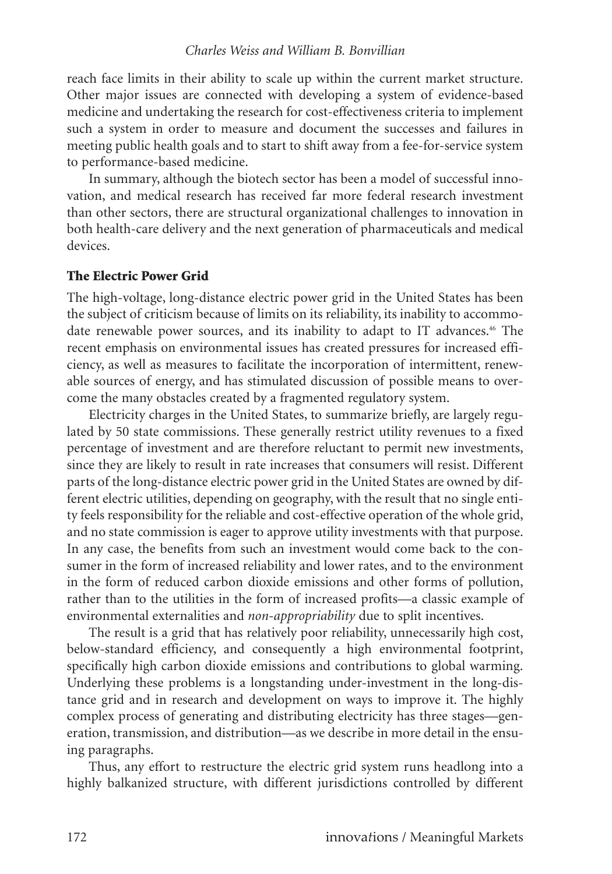reach face limits in their ability to scale up within the current market structure. Other major issues are connected with developing a system of evidence-based medicine and undertaking the research for cost-effectiveness criteria to implement such a system in order to measure and document the successes and failures in meeting public health goals and to start to shift away from a fee-for-service system to performance-based medicine.

In summary, although the biotech sector has been a model of successful innovation, and medical research has received far more federal research investment than other sectors, there are structural organizational challenges to innovation in both health-care delivery and the next generation of pharmaceuticals and medical devices.

# **The Electric Power Grid**

The high-voltage, long-distance electric power grid in the United States has been the subject of criticism because of limits on its reliability, its inability to accommodate renewable power sources, and its inability to adapt to IT advances.<sup>46</sup> The recent emphasis on environmental issues has created pressures for increased efficiency, as well as measures to facilitate the incorporation of intermittent, renewable sources of energy, and has stimulated discussion of possible means to overcome the many obstacles created by a fragmented regulatory system.

Electricity charges in the United States, to summarize briefly, are largely regulated by 50 state commissions. These generally restrict utility revenues to a fixed percentage of investment and are therefore reluctant to permit new investments, since they are likely to result in rate increases that consumers will resist. Different parts of the long-distance electric power grid in the United States are owned by different electric utilities, depending on geography, with the result that no single entity feels responsibility for the reliable and cost-effective operation of the whole grid, and no state commission is eager to approve utility investments with that purpose. In any case, the benefits from such an investment would come back to the consumer in the form of increased reliability and lower rates, and to the environment in the form of reduced carbon dioxide emissions and other forms of pollution, rather than to the utilities in the form of increased profits—a classic example of environmental externalities and *non-appropriability* due to split incentives.

The result is a grid that has relatively poor reliability, unnecessarily high cost, below-standard efficiency, and consequently a high environmental footprint, specifically high carbon dioxide emissions and contributions to global warming. Underlying these problems is a longstanding under-investment in the long-distance grid and in research and development on ways to improve it. The highly complex process of generating and distributing electricity has three stages—generation, transmission, and distribution—as we describe in more detail in the ensuing paragraphs.

Thus, any effort to restructure the electric grid system runs headlong into a highly balkanized structure, with different jurisdictions controlled by different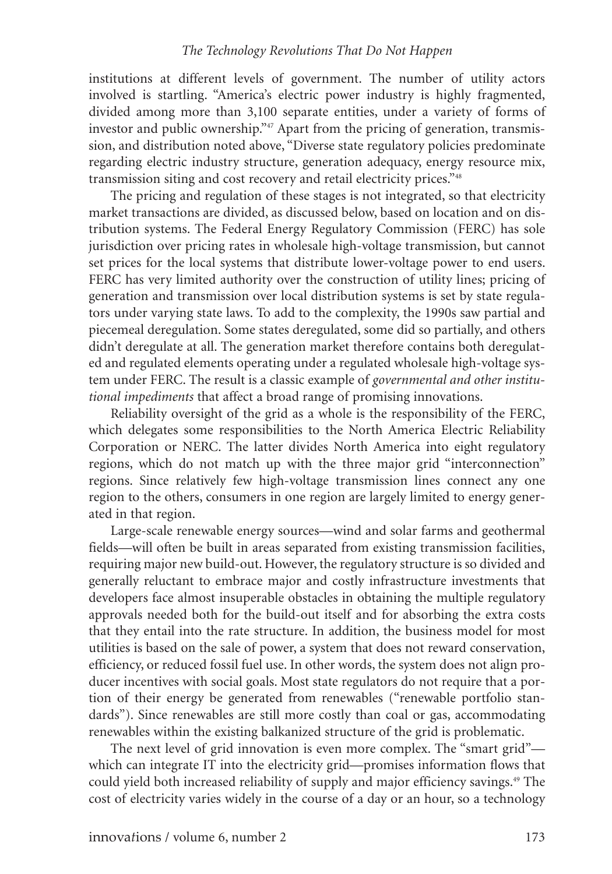institutions at different levels of government. The number of utility actors involved is startling. "America's electric power industry is highly fragmented, divided among more than 3,100 separate entities, under a variety of forms of investor and public ownership."<sup>47</sup> Apart from the pricing of generation, transmission, and distribution noted above, "Diverse state regulatory policies predominate regarding electric industry structure, generation adequacy, energy resource mix, transmission siting and cost recovery and retail electricity prices."48

The pricing and regulation of these stages is not integrated, so that electricity market transactions are divided, as discussed below, based on location and on distribution systems. The Federal Energy Regulatory Commission (FERC) has sole jurisdiction over pricing rates in wholesale high-voltage transmission, but cannot set prices for the local systems that distribute lower-voltage power to end users. FERC has very limited authority over the construction of utility lines; pricing of generation and transmission over local distribution systems is set by state regulators under varying state laws. To add to the complexity, the 1990s saw partial and piecemeal deregulation. Some states deregulated, some did so partially, and others didn't deregulate at all. The generation market therefore contains both deregulated and regulated elements operating under a regulated wholesale high-voltage system under FERC. The result is a classic example of *governmental and other institutional impediments* that affect a broad range of promising innovations.

Reliability oversight of the grid as a whole is the responsibility of the FERC, which delegates some responsibilities to the North America Electric Reliability Corporation or NERC. The latter divides North America into eight regulatory regions, which do not match up with the three major grid "interconnection" regions. Since relatively few high-voltage transmission lines connect any one region to the others, consumers in one region are largely limited to energy generated in that region.

Large-scale renewable energy sources—wind and solar farms and geothermal fields—will often be built in areas separated from existing transmission facilities, requiring major new build-out. However, the regulatory structure is so divided and generally reluctant to embrace major and costly infrastructure investments that developers face almost insuperable obstacles in obtaining the multiple regulatory approvals needed both for the build-out itself and for absorbing the extra costs that they entail into the rate structure. In addition, the business model for most utilities is based on the sale of power, a system that does not reward conservation, efficiency, or reduced fossil fuel use. In other words, the system does not align producer incentives with social goals. Most state regulators do not require that a portion of their energy be generated from renewables ("renewable portfolio standards"). Since renewables are still more costly than coal or gas, accommodating renewables within the existing balkanized structure of the grid is problematic.

The next level of grid innovation is even more complex. The "smart grid" which can integrate IT into the electricity grid—promises information flows that could yield both increased reliability of supply and major efficiency savings.<sup>49</sup> The cost of electricity varies widely in the course of a day or an hour, so a technology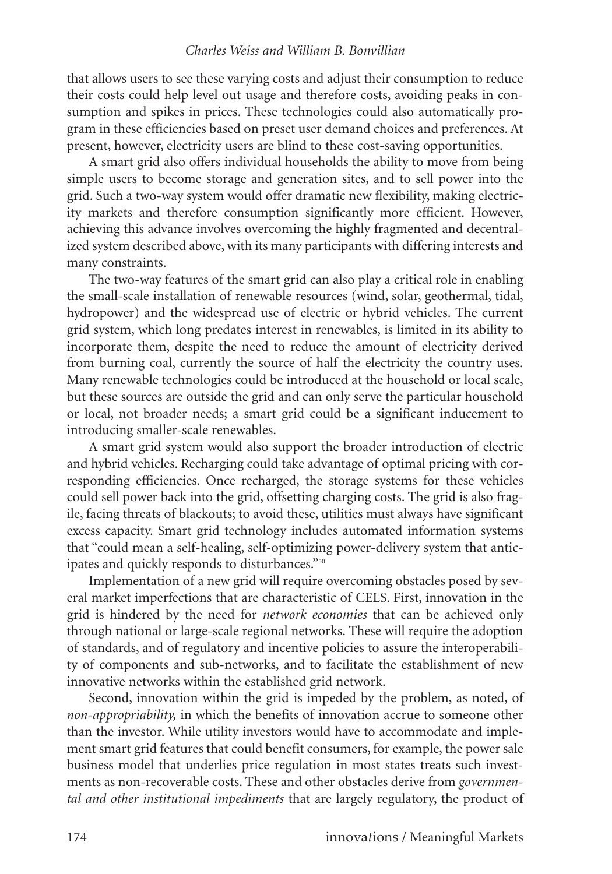that allows users to see these varying costs and adjust their consumption to reduce their costs could help level out usage and therefore costs, avoiding peaks in consumption and spikes in prices. These technologies could also automatically program in these efficiencies based on preset user demand choices and preferences. At present, however, electricity users are blind to these cost-saving opportunities.

A smart grid also offers individual households the ability to move from being simple users to become storage and generation sites, and to sell power into the grid. Such a two-way system would offer dramatic new flexibility, making electricity markets and therefore consumption significantly more efficient. However, achieving this advance involves overcoming the highly fragmented and decentralized system described above, with its many participants with differing interests and many constraints.

The two-way features of the smart grid can also play a critical role in enabling the small-scale installation of renewable resources (wind, solar, geothermal, tidal, hydropower) and the widespread use of electric or hybrid vehicles. The current grid system, which long predates interest in renewables, is limited in its ability to incorporate them, despite the need to reduce the amount of electricity derived from burning coal, currently the source of half the electricity the country uses. Many renewable technologies could be introduced at the household or local scale, but these sources are outside the grid and can only serve the particular household or local, not broader needs; a smart grid could be a significant inducement to introducing smaller-scale renewables.

A smart grid system would also support the broader introduction of electric and hybrid vehicles. Recharging could take advantage of optimal pricing with corresponding efficiencies. Once recharged, the storage systems for these vehicles could sell power back into the grid, offsetting charging costs. The grid is also fragile, facing threats of blackouts; to avoid these, utilities must always have significant excess capacity. Smart grid technology includes automated information systems that "could mean a self-healing, self-optimizing power-delivery system that anticipates and quickly responds to disturbances."50

Implementation of a new grid will require overcoming obstacles posed by several market imperfections that are characteristic of CELS. First, innovation in the grid is hindered by the need for *network economies* that can be achieved only through national or large-scale regional networks. These will require the adoption of standards, and of regulatory and incentive policies to assure the interoperability of components and sub-networks, and to facilitate the establishment of new innovative networks within the established grid network.

Second, innovation within the grid is impeded by the problem, as noted, of *non-appropriability,* in which the benefits of innovation accrue to someone other than the investor. While utility investors would have to accommodate and implement smart grid features that could benefit consumers, for example, the power sale business model that underlies price regulation in most states treats such investments as non-recoverable costs. These and other obstacles derive from *governmental and other institutional impediments* that are largely regulatory, the product of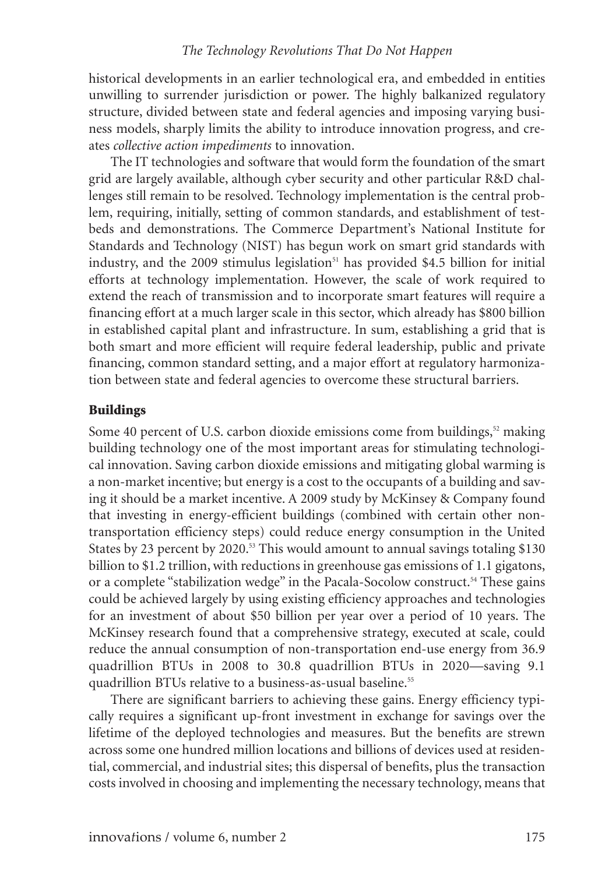historical developments in an earlier technological era, and embedded in entities unwilling to surrender jurisdiction or power. The highly balkanized regulatory structure, divided between state and federal agencies and imposing varying business models, sharply limits the ability to introduce innovation progress, and creates *collective action impediments* to innovation.

The IT technologies and software that would form the foundation of the smart grid are largely available, although cyber security and other particular R&D challenges still remain to be resolved. Technology implementation is the central problem, requiring, initially, setting of common standards, and establishment of testbeds and demonstrations. The Commerce Department's National Institute for Standards and Technology (NIST) has begun work on smart grid standards with industry, and the 2009 stimulus legislation<sup>51</sup> has provided \$4.5 billion for initial efforts at technology implementation. However, the scale of work required to extend the reach of transmission and to incorporate smart features will require a financing effort at a much larger scale in this sector, which already has \$800 billion in established capital plant and infrastructure. In sum, establishing a grid that is both smart and more efficient will require federal leadership, public and private financing, common standard setting, and a major effort at regulatory harmonization between state and federal agencies to overcome these structural barriers.

# **Buildings**

Some 40 percent of U.S. carbon dioxide emissions come from buildings, $52$  making building technology one of the most important areas for stimulating technological innovation. Saving carbon dioxide emissions and mitigating global warming is a non-market incentive; but energy is a cost to the occupants of a building and saving it should be a market incentive. A 2009 study by McKinsey & Company found that investing in energy-efficient buildings (combined with certain other nontransportation efficiency steps) could reduce energy consumption in the United States by 23 percent by 2020.<sup>53</sup> This would amount to annual savings totaling \$130 billion to \$1.2 trillion, with reductions in greenhouse gas emissions of 1.1 gigatons, or a complete "stabilization wedge" in the Pacala-Socolow construct.<sup>54</sup> These gains could be achieved largely by using existing efficiency approaches and technologies for an investment of about \$50 billion per year over a period of 10 years. The McKinsey research found that a comprehensive strategy, executed at scale, could reduce the annual consumption of non-transportation end-use energy from 36.9 quadrillion BTUs in 2008 to 30.8 quadrillion BTUs in 2020—saving 9.1 quadrillion BTUs relative to a business-as-usual baseline.<sup>55</sup>

There are significant barriers to achieving these gains. Energy efficiency typically requires a significant up-front investment in exchange for savings over the lifetime of the deployed technologies and measures. But the benefits are strewn across some one hundred million locations and billions of devices used at residential, commercial, and industrial sites; this dispersal of benefits, plus the transaction costs involved in choosing and implementing the necessary technology, means that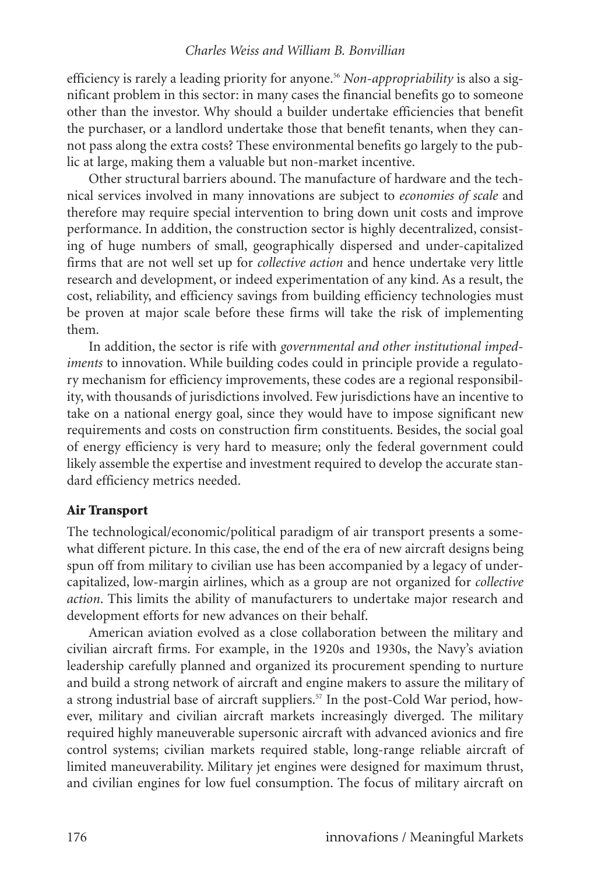efficiency is rarely a leading priority for anyone.<sup>56</sup> *Non-appropriability* is also a significant problem in this sector: in many cases the financial benefits go to someone other than the investor. Why should a builder undertake efficiencies that benefit the purchaser, or a landlord undertake those that benefit tenants, when they cannot pass along the extra costs? These environmental benefits go largely to the public at large, making them a valuable but non-market incentive.

Other structural barriers abound. The manufacture of hardware and the technical services involved in many innovations are subject to *economies of scale* and therefore may require special intervention to bring down unit costs and improve performance. In addition, the construction sector is highly decentralized, consisting of huge numbers of small, geographically dispersed and under-capitalized firms that are not well set up for *collective action* and hence undertake very little research and development, or indeed experimentation of any kind. As a result, the cost, reliability, and efficiency savings from building efficiency technologies must be proven at major scale before these firms will take the risk of implementing them.

In addition, the sector is rife with *governmental and other institutional impediments* to innovation. While building codes could in principle provide a regulatory mechanism for efficiency improvements, these codes are a regional responsibility, with thousands of jurisdictions involved. Few jurisdictions have an incentive to take on a national energy goal, since they would have to impose significant new requirements and costs on construction firm constituents. Besides, the social goal of energy efficiency is very hard to measure; only the federal government could likely assemble the expertise and investment required to develop the accurate standard efficiency metrics needed.

#### **Air Transport**

The technological/economic/political paradigm of air transport presents a somewhat different picture. In this case, the end of the era of new aircraft designs being spun off from military to civilian use has been accompanied by a legacy of undercapitalized, low-margin airlines, which as a group are not organized for *collective action*. This limits the ability of manufacturers to undertake major research and development efforts for new advances on their behalf.

American aviation evolved as a close collaboration between the military and civilian aircraft firms. For example, in the 1920s and 1930s, the Navy's aviation leadership carefully planned and organized its procurement spending to nurture and build a strong network of aircraft and engine makers to assure the military of a strong industrial base of aircraft suppliers.<sup>57</sup> In the post-Cold War period, however, military and civilian aircraft markets increasingly diverged. The military required highly maneuverable supersonic aircraft with advanced avionics and fire control systems; civilian markets required stable, long-range reliable aircraft of limited maneuverability. Military jet engines were designed for maximum thrust, and civilian engines for low fuel consumption. The focus of military aircraft on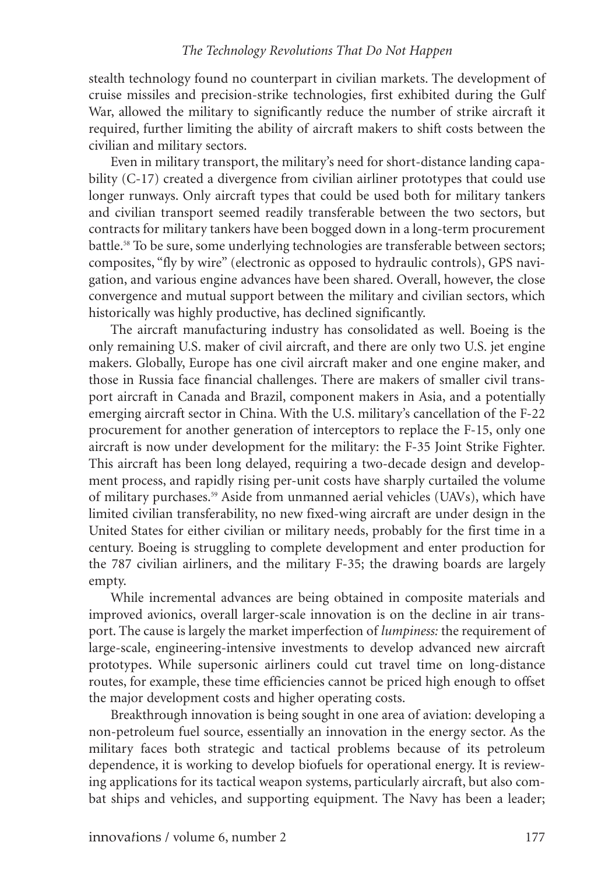stealth technology found no counterpart in civilian markets. The development of cruise missiles and precision-strike technologies, first exhibited during the Gulf War, allowed the military to significantly reduce the number of strike aircraft it required, further limiting the ability of aircraft makers to shift costs between the civilian and military sectors.

Even in military transport, the military's need for short-distance landing capability (C-17) created a divergence from civilian airliner prototypes that could use longer runways. Only aircraft types that could be used both for military tankers and civilian transport seemed readily transferable between the two sectors, but contracts for military tankers have been bogged down in a long-term procurement battle.<sup>58</sup> To be sure, some underlying technologies are transferable between sectors; composites, "fly by wire" (electronic as opposed to hydraulic controls), GPS navigation, and various engine advances have been shared. Overall, however, the close convergence and mutual support between the military and civilian sectors, which historically was highly productive, has declined significantly.

The aircraft manufacturing industry has consolidated as well. Boeing is the only remaining U.S. maker of civil aircraft, and there are only two U.S. jet engine makers. Globally, Europe has one civil aircraft maker and one engine maker, and those in Russia face financial challenges. There are makers of smaller civil transport aircraft in Canada and Brazil, component makers in Asia, and a potentially emerging aircraft sector in China. With the U.S. military's cancellation of the F-22 procurement for another generation of interceptors to replace the F-15, only one aircraft is now under development for the military: the F-35 Joint Strike Fighter. This aircraft has been long delayed, requiring a two-decade design and development process, and rapidly rising per-unit costs have sharply curtailed the volume of military purchases.59 Aside from unmanned aerial vehicles (UAVs), which have limited civilian transferability, no new fixed-wing aircraft are under design in the United States for either civilian or military needs, probably for the first time in a century. Boeing is struggling to complete development and enter production for the 787 civilian airliners, and the military F-35; the drawing boards are largely empty.

While incremental advances are being obtained in composite materials and improved avionics, overall larger-scale innovation is on the decline in air transport. The cause is largely the market imperfection of *lumpiness:* the requirement of large-scale, engineering-intensive investments to develop advanced new aircraft prototypes. While supersonic airliners could cut travel time on long-distance routes, for example, these time efficiencies cannot be priced high enough to offset the major development costs and higher operating costs.

Breakthrough innovation is being sought in one area of aviation: developing a non-petroleum fuel source, essentially an innovation in the energy sector. As the military faces both strategic and tactical problems because of its petroleum dependence, it is working to develop biofuels for operational energy. It is reviewing applications for its tactical weapon systems, particularly aircraft, but also combat ships and vehicles, and supporting equipment. The Navy has been a leader;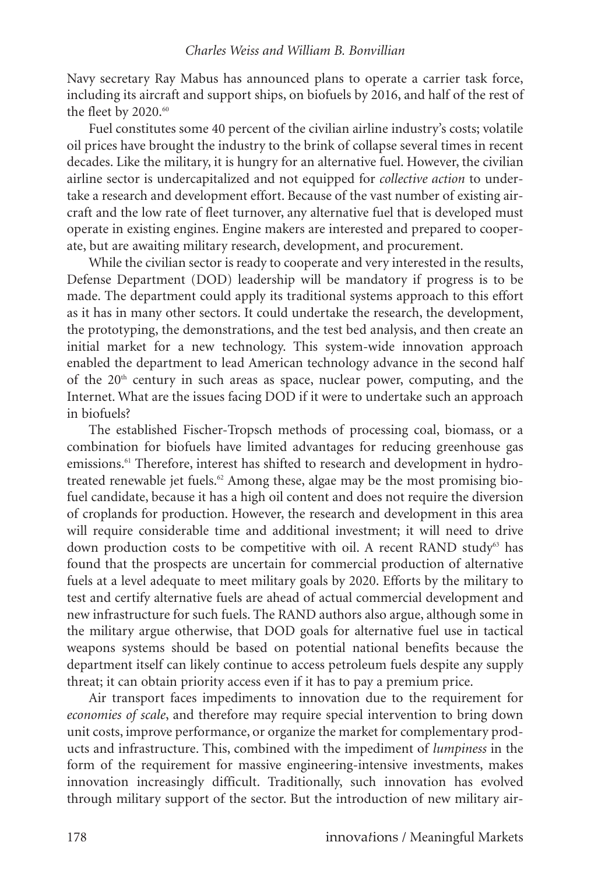Navy secretary Ray Mabus has announced plans to operate a carrier task force, including its aircraft and support ships, on biofuels by 2016, and half of the rest of the fleet by 2020.<sup>60</sup>

Fuel constitutes some 40 percent of the civilian airline industry's costs; volatile oil prices have brought the industry to the brink of collapse several times in recent decades. Like the military, it is hungry for an alternative fuel. However, the civilian airline sector is undercapitalized and not equipped for *collective action* to undertake a research and development effort. Because of the vast number of existing aircraft and the low rate of fleet turnover, any alternative fuel that is developed must operate in existing engines. Engine makers are interested and prepared to cooperate, but are awaiting military research, development, and procurement.

While the civilian sector is ready to cooperate and very interested in the results, Defense Department (DOD) leadership will be mandatory if progress is to be made. The department could apply its traditional systems approach to this effort as it has in many other sectors. It could undertake the research, the development, the prototyping, the demonstrations, and the test bed analysis, and then create an initial market for a new technology. This system-wide innovation approach enabled the department to lead American technology advance in the second half of the  $20<sup>th</sup>$  century in such areas as space, nuclear power, computing, and the Internet. What are the issues facing DOD if it were to undertake such an approach in biofuels?

The established Fischer-Tropsch methods of processing coal, biomass, or a combination for biofuels have limited advantages for reducing greenhouse gas emissions.<sup>61</sup> Therefore, interest has shifted to research and development in hydrotreated renewable jet fuels.<sup>62</sup> Among these, algae may be the most promising biofuel candidate, because it has a high oil content and does not require the diversion of croplands for production. However, the research and development in this area will require considerable time and additional investment; it will need to drive down production costs to be competitive with oil. A recent RAND study<sup>63</sup> has found that the prospects are uncertain for commercial production of alternative fuels at a level adequate to meet military goals by 2020. Efforts by the military to test and certify alternative fuels are ahead of actual commercial development and new infrastructure for such fuels. The RAND authors also argue, although some in the military argue otherwise, that DOD goals for alternative fuel use in tactical weapons systems should be based on potential national benefits because the department itself can likely continue to access petroleum fuels despite any supply threat; it can obtain priority access even if it has to pay a premium price.

Air transport faces impediments to innovation due to the requirement for *economies of scale*, and therefore may require special intervention to bring down unit costs, improve performance, or organize the market for complementary products and infrastructure. This, combined with the impediment of *lumpiness* in the form of the requirement for massive engineering-intensive investments, makes innovation increasingly difficult. Traditionally, such innovation has evolved through military support of the sector. But the introduction of new military air-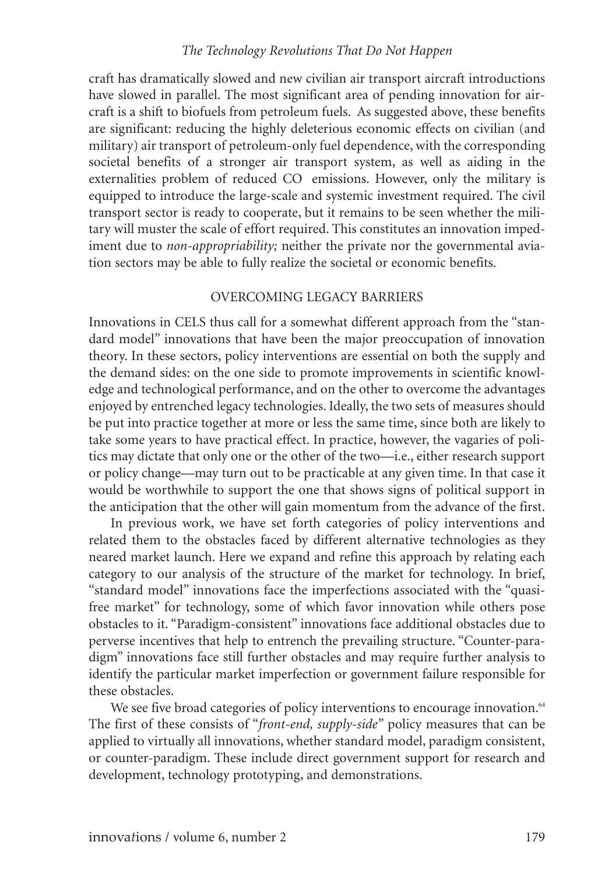craft has dramatically slowed and new civilian air transport aircraft introductions have slowed in parallel. The most significant area of pending innovation for aircraft is a shift to biofuels from petroleum fuels. As suggested above, these benefits are significant: reducing the highly deleterious economic effects on civilian (and military) air transport of petroleum-only fuel dependence, with the corresponding societal benefits of a stronger air transport system, as well as aiding in the externalities problem of reduced CO emissions. However, only the military is equipped to introduce the large-scale and systemic investment required. The civil transport sector is ready to cooperate, but it remains to be seen whether the military will muster the scale of effort required. This constitutes an innovation impediment due to *non-appropriability;* neither the private nor the governmental aviation sectors may be able to fully realize the societal or economic benefits.

## OVERCOMING LEGACY BARRIERS

Innovations in CELS thus call for a somewhat different approach from the "standard model" innovations that have been the major preoccupation of innovation theory. In these sectors, policy interventions are essential on both the supply and the demand sides: on the one side to promote improvements in scientific knowledge and technological performance, and on the other to overcome the advantages enjoyed by entrenched legacy technologies. Ideally, the two sets of measures should be put into practice together at more or less the same time, since both are likely to take some years to have practical effect. In practice, however, the vagaries of politics may dictate that only one or the other of the two—i.e., either research support or policy change—may turn out to be practicable at any given time. In that case it would be worthwhile to support the one that shows signs of political support in the anticipation that the other will gain momentum from the advance of the first.

In previous work, we have set forth categories of policy interventions and related them to the obstacles faced by different alternative technologies as they neared market launch. Here we expand and refine this approach by relating each category to our analysis of the structure of the market for technology. In brief, "standard model" innovations face the imperfections associated with the "quasifree market" for technology, some of which favor innovation while others pose obstacles to it. "Paradigm-consistent" innovations face additional obstacles due to perverse incentives that help to entrench the prevailing structure. "Counter-paradigm" innovations face still further obstacles and may require further analysis to identify the particular market imperfection or government failure responsible for these obstacles.

We see five broad categories of policy interventions to encourage innovation.<sup>64</sup> The first of these consists of "*front-end, supply-side"* policy measures that can be applied to virtually all innovations, whether standard model, paradigm consistent, or counter-paradigm. These include direct government support for research and development, technology prototyping, and demonstrations.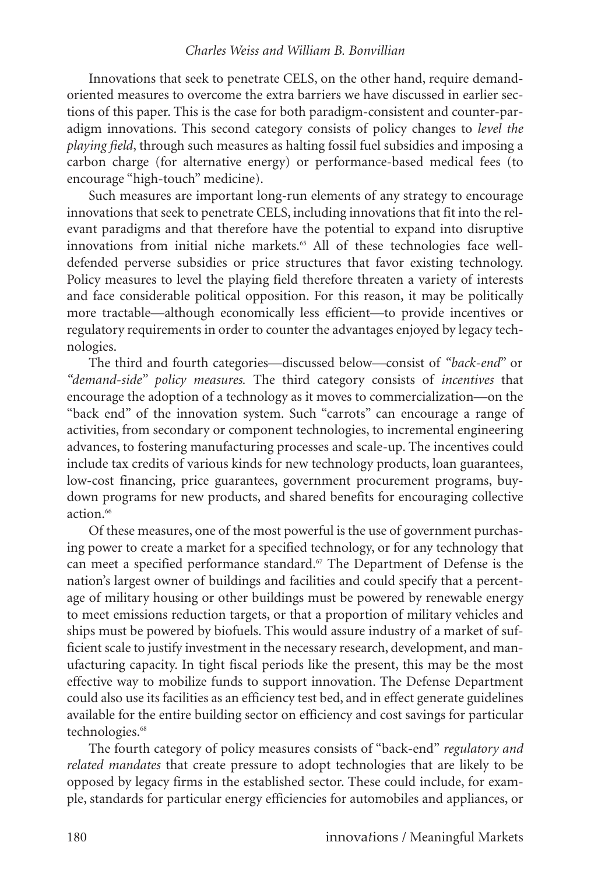Innovations that seek to penetrate CELS, on the other hand, require demandoriented measures to overcome the extra barriers we have discussed in earlier sections of this paper. This is the case for both paradigm-consistent and counter-paradigm innovations. This second category consists of policy changes to *level the playing field*, through such measures as halting fossil fuel subsidies and imposing a carbon charge (for alternative energy) or performance-based medical fees (to encourage "high-touch" medicine).

Such measures are important long-run elements of any strategy to encourage innovations that seek to penetrate CELS, including innovations that fit into the relevant paradigms and that therefore have the potential to expand into disruptive innovations from initial niche markets.<sup>65</sup> All of these technologies face welldefended perverse subsidies or price structures that favor existing technology. Policy measures to level the playing field therefore threaten a variety of interests and face considerable political opposition. For this reason, it may be politically more tractable—although economically less efficient—to provide incentives or regulatory requirements in order to counter the advantages enjoyed by legacy technologies.

The third and fourth categories—discussed below—consist of *"back-end*" or *"demand-side" policy measures.* The third category consists of *incentives* that encourage the adoption of a technology as it moves to commercialization—on the "back end" of the innovation system. Such "carrots" can encourage a range of activities, from secondary or component technologies, to incremental engineering advances, to fostering manufacturing processes and scale-up. The incentives could include tax credits of various kinds for new technology products, loan guarantees, low-cost financing, price guarantees, government procurement programs, buydown programs for new products, and shared benefits for encouraging collective action.<sup>66</sup>

Of these measures, one of the most powerful is the use of government purchasing power to create a market for a specified technology, or for any technology that can meet a specified performance standard.<sup>67</sup> The Department of Defense is the nation's largest owner of buildings and facilities and could specify that a percentage of military housing or other buildings must be powered by renewable energy to meet emissions reduction targets, or that a proportion of military vehicles and ships must be powered by biofuels. This would assure industry of a market of sufficient scale to justify investment in the necessary research, development, and manufacturing capacity. In tight fiscal periods like the present, this may be the most effective way to mobilize funds to support innovation. The Defense Department could also use its facilities as an efficiency test bed, and in effect generate guidelines available for the entire building sector on efficiency and cost savings for particular technologies.<sup>68</sup>

The fourth category of policy measures consists of "back-end" *regulatory and related mandates* that create pressure to adopt technologies that are likely to be opposed by legacy firms in the established sector. These could include, for example, standards for particular energy efficiencies for automobiles and appliances, or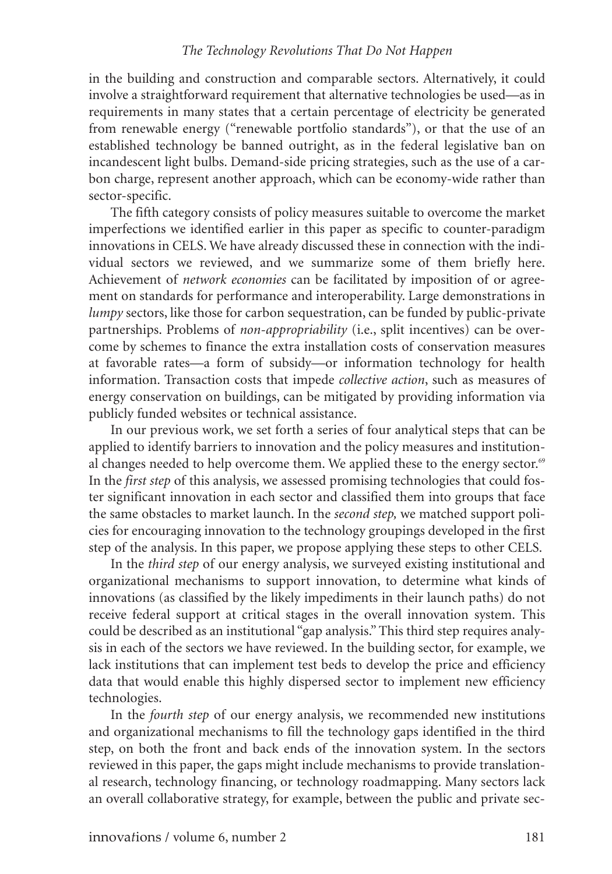in the building and construction and comparable sectors. Alternatively, it could involve a straightforward requirement that alternative technologies be used—as in requirements in many states that a certain percentage of electricity be generated from renewable energy ("renewable portfolio standards"), or that the use of an established technology be banned outright, as in the federal legislative ban on incandescent light bulbs. Demand-side pricing strategies, such as the use of a carbon charge, represent another approach, which can be economy-wide rather than sector-specific.

The fifth category consists of policy measures suitable to overcome the market imperfections we identified earlier in this paper as specific to counter-paradigm innovations in CELS. We have already discussed these in connection with the individual sectors we reviewed, and we summarize some of them briefly here. Achievement of *network economies* can be facilitated by imposition of or agreement on standards for performance and interoperability. Large demonstrations in *lumpy* sectors, like those for carbon sequestration, can be funded by public-private partnerships. Problems of *non-appropriability* (i.e., split incentives) can be overcome by schemes to finance the extra installation costs of conservation measures at favorable rates—a form of subsidy—or information technology for health information. Transaction costs that impede *collective action*, such as measures of energy conservation on buildings, can be mitigated by providing information via publicly funded websites or technical assistance.

In our previous work, we set forth a series of four analytical steps that can be applied to identify barriers to innovation and the policy measures and institutional changes needed to help overcome them. We applied these to the energy sector.<sup>69</sup> In the *first step* of this analysis, we assessed promising technologies that could foster significant innovation in each sector and classified them into groups that face the same obstacles to market launch. In the *second step,* we matched support policies for encouraging innovation to the technology groupings developed in the first step of the analysis. In this paper, we propose applying these steps to other CELS.

In the *third step* of our energy analysis, we surveyed existing institutional and organizational mechanisms to support innovation, to determine what kinds of innovations (as classified by the likely impediments in their launch paths) do not receive federal support at critical stages in the overall innovation system. This could be described as an institutional "gap analysis." This third step requires analysis in each of the sectors we have reviewed. In the building sector, for example, we lack institutions that can implement test beds to develop the price and efficiency data that would enable this highly dispersed sector to implement new efficiency technologies.

In the *fourth step* of our energy analysis, we recommended new institutions and organizational mechanisms to fill the technology gaps identified in the third step, on both the front and back ends of the innovation system. In the sectors reviewed in this paper, the gaps might include mechanisms to provide translational research, technology financing, or technology roadmapping. Many sectors lack an overall collaborative strategy, for example, between the public and private sec-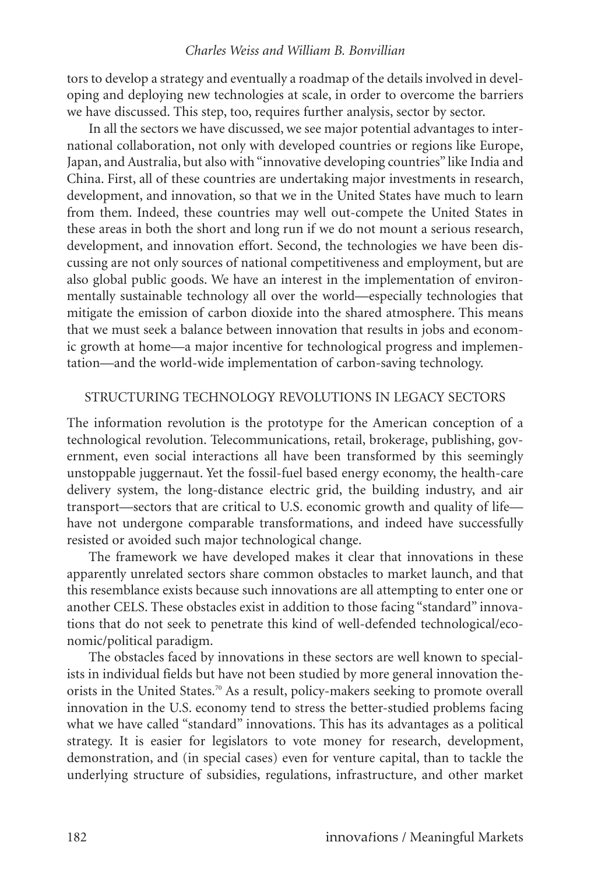tors to develop a strategy and eventually a roadmap of the details involved in developing and deploying new technologies at scale, in order to overcome the barriers we have discussed. This step, too, requires further analysis, sector by sector.

In all the sectors we have discussed, we see major potential advantages to international collaboration, not only with developed countries or regions like Europe, Japan, and Australia, but also with "innovative developing countries" like India and China. First, all of these countries are undertaking major investments in research, development, and innovation, so that we in the United States have much to learn from them. Indeed, these countries may well out-compete the United States in these areas in both the short and long run if we do not mount a serious research, development, and innovation effort. Second, the technologies we have been discussing are not only sources of national competitiveness and employment, but are also global public goods. We have an interest in the implementation of environmentally sustainable technology all over the world—especially technologies that mitigate the emission of carbon dioxide into the shared atmosphere. This means that we must seek a balance between innovation that results in jobs and economic growth at home—a major incentive for technological progress and implementation—and the world-wide implementation of carbon-saving technology.

# STRUCTURING TECHNOLOGY REVOLUTIONS IN LEGACY SECTORS

The information revolution is the prototype for the American conception of a technological revolution. Telecommunications, retail, brokerage, publishing, government, even social interactions all have been transformed by this seemingly unstoppable juggernaut. Yet the fossil-fuel based energy economy, the health-care delivery system, the long-distance electric grid, the building industry, and air transport—sectors that are critical to U.S. economic growth and quality of life have not undergone comparable transformations, and indeed have successfully resisted or avoided such major technological change.

The framework we have developed makes it clear that innovations in these apparently unrelated sectors share common obstacles to market launch, and that this resemblance exists because such innovations are all attempting to enter one or another CELS. These obstacles exist in addition to those facing "standard" innovations that do not seek to penetrate this kind of well-defended technological/economic/political paradigm.

The obstacles faced by innovations in these sectors are well known to specialists in individual fields but have not been studied by more general innovation theorists in the United States.<sup>70</sup> As a result, policy-makers seeking to promote overall innovation in the U.S. economy tend to stress the better-studied problems facing what we have called "standard" innovations. This has its advantages as a political strategy. It is easier for legislators to vote money for research, development, demonstration, and (in special cases) even for venture capital, than to tackle the underlying structure of subsidies, regulations, infrastructure, and other market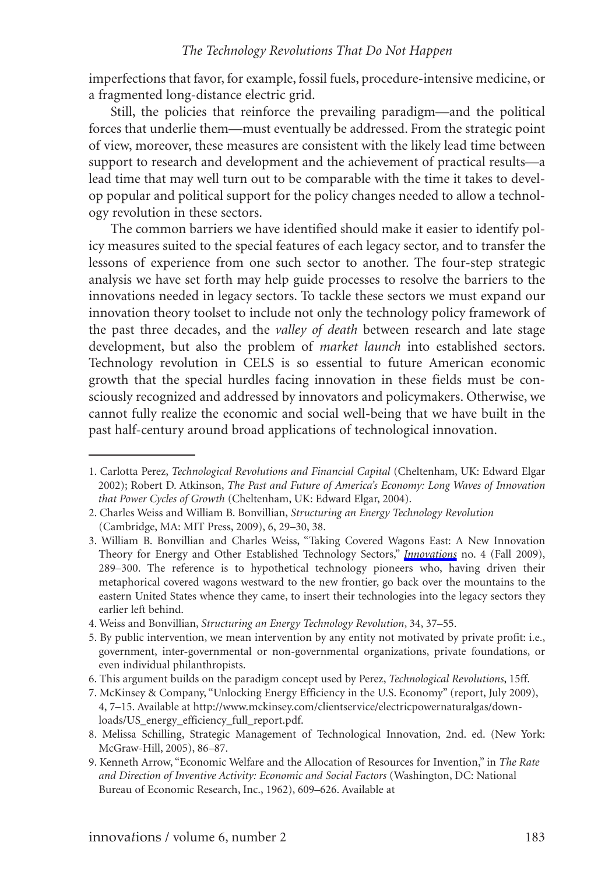imperfections that favor, for example, fossil fuels, procedure-intensive medicine, or a fragmented long-distance electric grid.

Still, the policies that reinforce the prevailing paradigm—and the political forces that underlie them—must eventually be addressed. From the strategic point of view, moreover, these measures are consistent with the likely lead time between support to research and development and the achievement of practical results—a lead time that may well turn out to be comparable with the time it takes to develop popular and political support for the policy changes needed to allow a technology revolution in these sectors.

The common barriers we have identified should make it easier to identify policy measures suited to the special features of each legacy sector, and to transfer the lessons of experience from one such sector to another. The four-step strategic analysis we have set forth may help guide processes to resolve the barriers to the innovations needed in legacy sectors. To tackle these sectors we must expand our innovation theory toolset to include not only the technology policy framework of the past three decades, and the *valley of death* between research and late stage development, but also the problem of *market launch* into established sectors. Technology revolution in CELS is so essential to future American economic growth that the special hurdles facing innovation in these fields must be consciously recognized and addressed by innovators and policymakers. Otherwise, we cannot fully realize the economic and social well-being that we have built in the past half-century around broad applications of technological innovation.

<sup>1.</sup> Carlotta Perez, *Technological Revolutions and Financial Capital* (Cheltenham, UK: Edward Elgar 2002); Robert D. Atkinson, *The Past and Future of America's Economy: Long Waves of Innovation that Power Cycles of Growth* (Cheltenham, UK: Edward Elgar, 2004).

<sup>2.</sup> Charles Weiss and William B. Bonvillian, *Structuring an Energy Technology Revolution* (Cambridge, MA: MIT Press, 2009), 6, 29–30, 38.

<sup>3.</sup> William B. Bonvillian and Charles Weiss, "Taking Covered Wagons East: A New Innovation Theory for Energy and Other Established Technology Sectors," *Innovations* no. 4 (Fall 2009), 289–300. The reference is to hypothetical technology pioneers who, having driven their metaphorical covered wagons westward to the new frontier, go back over the mountains to the eastern United States whence they came, to insert their technologies into the legacy sectors they earlier left behind.

<sup>4.</sup> Weiss and Bonvillian, *Structuring an Energy Technology Revolution*, 34, 37–55.

<sup>5.</sup> By public intervention, we mean intervention by any entity not motivated by private profit: i.e., government, inter-governmental or non-governmental organizations, private foundations, or even individual philanthropists.

<sup>6.</sup> This argument builds on the paradigm concept used by Perez, *Technological Revolutions*, 15ff.

<sup>7.</sup> McKinsey & Company, "Unlocking Energy Efficiency in the U.S. Economy" (report, July 2009), 4, 7–15. Available at http://www.mckinsey.com/clientservice/electricpowernaturalgas/downloads/US\_energy\_efficiency\_full\_report.pdf.

<sup>8.</sup> Melissa Schilling, Strategic Management of Technological Innovation, 2nd. ed. (New York: McGraw-Hill, 2005), 86–87.

<sup>9.</sup> Kenneth Arrow, "Economic Welfare and the Allocation of Resources for Invention," in *The Rate and Direction of Inventive Activity: Economic and Social Factors* (Washington, DC: National Bureau of Economic Research, Inc., 1962), 609–626. Available at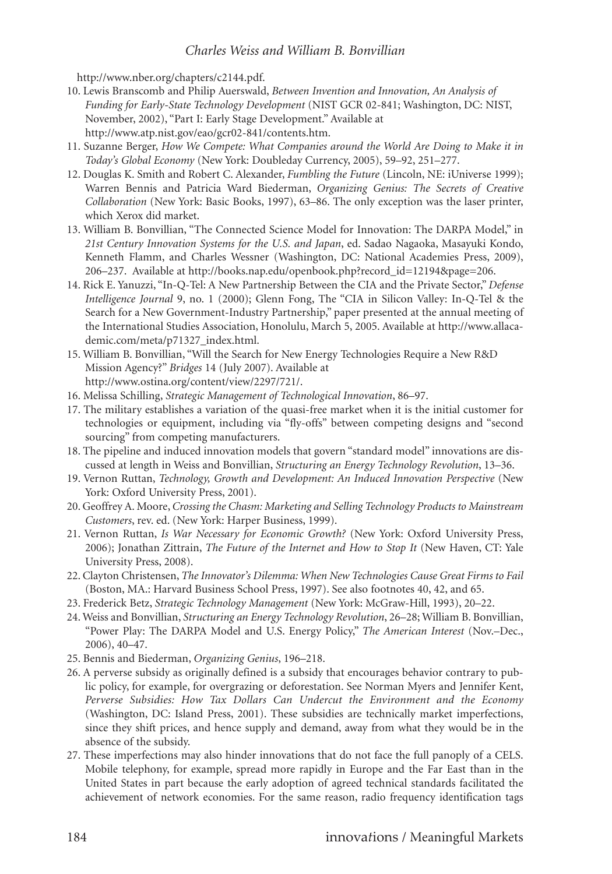http://www.nber.org/chapters/c2144.pdf.

- 10. Lewis Branscomb and Philip Auerswald, *Between Invention and Innovation, An Analysis of Funding for Early-State Technology Development* (NIST GCR 02-841; Washington, DC: NIST, November, 2002), "Part I: Early Stage Development." Available at http://www.atp.nist.gov/eao/gcr02-841/contents.htm.
- 11. Suzanne Berger, *How We Compete: What Companies around the World Are Doing to Make it in Today's Global Economy* (New York: Doubleday Currency, 2005), 59–92, 251–277.
- 12. Douglas K. Smith and Robert C. Alexander, *Fumbling the Future* (Lincoln, NE: iUniverse 1999); Warren Bennis and Patricia Ward Biederman, *Organizing Genius: The Secrets of Creative Collaboration* (New York: Basic Books, 1997), 63–86. The only exception was the laser printer, which Xerox did market.
- 13. William B. Bonvillian, "The Connected Science Model for Innovation: The DARPA Model," in *21st Century Innovation Systems for the U.S. and Japan*, ed. Sadao Nagaoka, Masayuki Kondo, Kenneth Flamm, and Charles Wessner (Washington, DC: National Academies Press, 2009), 206–237. Available at http://books.nap.edu/openbook.php?record\_id=12194&page=206.
- 14. Rick E. Yanuzzi, "In-Q-Tel: A New Partnership Between the CIA and the Private Sector," *Defense Intelligence Journal* 9, no. 1 (2000); Glenn Fong, The "CIA in Silicon Valley: In-Q-Tel & the Search for a New Government-Industry Partnership," paper presented at the annual meeting of the International Studies Association, Honolulu, March 5, 2005. Available at http://www.allacademic.com/meta/p71327\_index.html.
- 15. William B. Bonvillian, "Will the Search for New Energy Technologies Require a New R&D Mission Agency?" *Bridges* 14 (July 2007). Available at http://www.ostina.org/content/view/2297/721/.
- 16. Melissa Schilling, *Strategic Management of Technological Innovation*, 86–97.
- 17. The military establishes a variation of the quasi-free market when it is the initial customer for technologies or equipment, including via "fly-offs" between competing designs and "second sourcing" from competing manufacturers.
- 18. The pipeline and induced innovation models that govern "standard model" innovations are discussed at length in Weiss and Bonvillian, *Structuring an Energy Technology Revolution*, 13–36.
- 19. Vernon Ruttan, *Technology, Growth and Development: An Induced Innovation Perspective* (New York: Oxford University Press, 2001).
- 20. Geoffrey A. Moore, *Crossing the Chasm: Marketing and Selling Technology Products to Mainstream Customers*, rev. ed. (New York: Harper Business, 1999).
- 21. Vernon Ruttan, *Is War Necessary for Economic Growth?* (New York: Oxford University Press, 2006); Jonathan Zittrain, *The Future of the Internet and How to Stop It* (New Haven, CT: Yale University Press, 2008).
- 22. Clayton Christensen, *The Innovator's Dilemma: When New Technologies Cause Great Firms to Fail* (Boston, MA.: Harvard Business School Press, 1997). See also footnotes 40, 42, and 65.
- 23. Frederick Betz, *Strategic Technology Management* (New York: McGraw-Hill, 1993), 20–22.
- 24. Weiss and Bonvillian, *Structuring an Energy Technology Revolution*, 26–28; William B. Bonvillian, "Power Play: The DARPA Model and U.S. Energy Policy," *The American Interest* (Nov.–Dec., 2006), 40–47.
- 25. Bennis and Biederman, *Organizing Genius*, 196–218.
- 26. A perverse subsidy as originally defined is a subsidy that encourages behavior contrary to public policy, for example, for overgrazing or deforestation. See Norman Myers and Jennifer Kent, *Perverse Subsidies: How Tax Dollars Can Undercut the Environment and the Economy* (Washington, DC: Island Press, 2001). These subsidies are technically market imperfections, since they shift prices, and hence supply and demand, away from what they would be in the absence of the subsidy.
- 27. These imperfections may also hinder innovations that do not face the full panoply of a CELS. Mobile telephony, for example, spread more rapidly in Europe and the Far East than in the United States in part because the early adoption of agreed technical standards facilitated the achievement of network economies. For the same reason, radio frequency identification tags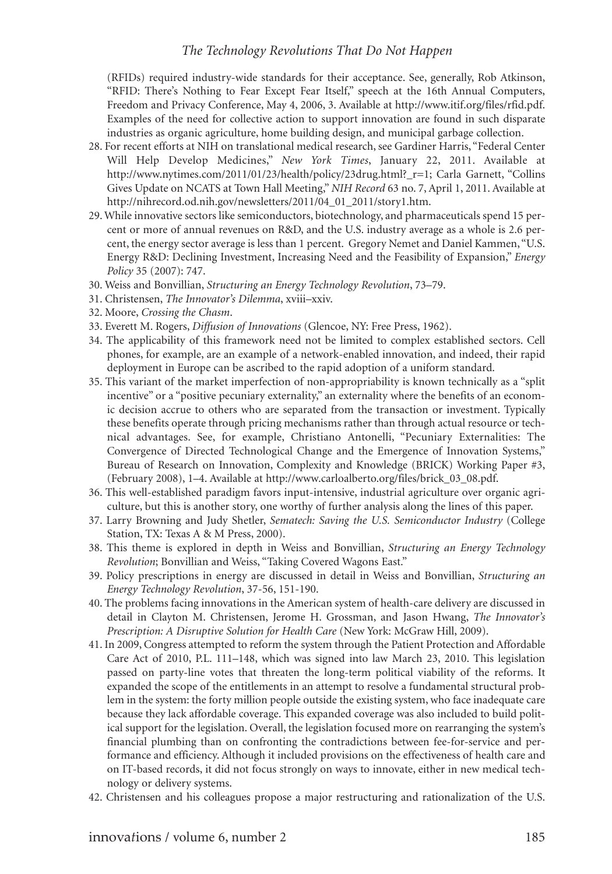(RFIDs) required industry-wide standards for their acceptance. See, generally, Rob Atkinson, "RFID: There's Nothing to Fear Except Fear Itself," speech at the 16th Annual Computers, Freedom and Privacy Conference, May 4, 2006, 3. Available at http://www.itif.org/files/rfid.pdf. Examples of the need for collective action to support innovation are found in such disparate industries as organic agriculture, home building design, and municipal garbage collection.

- 28. For recent efforts at NIH on translational medical research, see Gardiner Harris, "Federal Center Will Help Develop Medicines," *New York Times*, January 22, 2011. Available at http://www.nytimes.com/2011/01/23/health/policy/23drug.html?\_r=1; Carla Garnett, "Collins Gives Update on NCATS at Town Hall Meeting," *NIH Record* 63 no. 7, April 1, 2011. Available at http://nihrecord.od.nih.gov/newsletters/2011/04\_01\_2011/story1.htm.
- 29. While innovative sectors like semiconductors, biotechnology, and pharmaceuticals spend 15 percent or more of annual revenues on R&D, and the U.S. industry average as a whole is 2.6 percent, the energy sector average is less than 1 percent. Gregory Nemet and Daniel Kammen, "U.S. Energy R&D: Declining Investment, Increasing Need and the Feasibility of Expansion," *Energy Policy* 35 (2007): 747.
- 30. Weiss and Bonvillian, *Structuring an Energy Technology Revolution*, 73–79.
- 31. Christensen, *The Innovator's Dilemma*, xviii–xxiv.
- 32. Moore, *Crossing the Chasm*.
- 33. Everett M. Rogers, *Diffusion of Innovations* (Glencoe, NY: Free Press, 1962).
- 34. The applicability of this framework need not be limited to complex established sectors. Cell phones, for example, are an example of a network-enabled innovation, and indeed, their rapid deployment in Europe can be ascribed to the rapid adoption of a uniform standard.
- 35. This variant of the market imperfection of non-appropriability is known technically as a "split incentive" or a "positive pecuniary externality," an externality where the benefits of an economic decision accrue to others who are separated from the transaction or investment. Typically these benefits operate through pricing mechanisms rather than through actual resource or technical advantages. See, for example, Christiano Antonelli, "Pecuniary Externalities: The Convergence of Directed Technological Change and the Emergence of Innovation Systems," Bureau of Research on Innovation, Complexity and Knowledge (BRICK) Working Paper #3, (February 2008), 1–4. Available at http://www.carloalberto.org/files/brick\_03\_08.pdf.
- 36. This well-established paradigm favors input-intensive, industrial agriculture over organic agriculture, but this is another story, one worthy of further analysis along the lines of this paper.
- 37. Larry Browning and Judy Shetler, *Sematech: Saving the U.S. Semiconductor Industry* (College Station, TX: Texas A & M Press, 2000).
- 38. This theme is explored in depth in Weiss and Bonvillian, *Structuring an Energy Technology Revolution*; Bonvillian and Weiss, "Taking Covered Wagons East."
- 39. Policy prescriptions in energy are discussed in detail in Weiss and Bonvillian, *Structuring an Energy Technology Revolution*, 37-56, 151-190.
- 40. The problems facing innovations in the American system of health-care delivery are discussed in detail in Clayton M. Christensen, Jerome H. Grossman, and Jason Hwang, *The Innovator's Prescription: A Disruptive Solution for Health Care* (New York: McGraw Hill, 2009).
- 41. In 2009, Congress attempted to reform the system through the Patient Protection and Affordable Care Act of 2010, P.L. 111–148, which was signed into law March 23, 2010. This legislation passed on party-line votes that threaten the long-term political viability of the reforms. It expanded the scope of the entitlements in an attempt to resolve a fundamental structural problem in the system: the forty million people outside the existing system, who face inadequate care because they lack affordable coverage. This expanded coverage was also included to build political support for the legislation. Overall, the legislation focused more on rearranging the system's financial plumbing than on confronting the contradictions between fee-for-service and performance and efficiency. Although it included provisions on the effectiveness of health care and on IT-based records, it did not focus strongly on ways to innovate, either in new medical technology or delivery systems.
- 42. Christensen and his colleagues propose a major restructuring and rationalization of the U.S.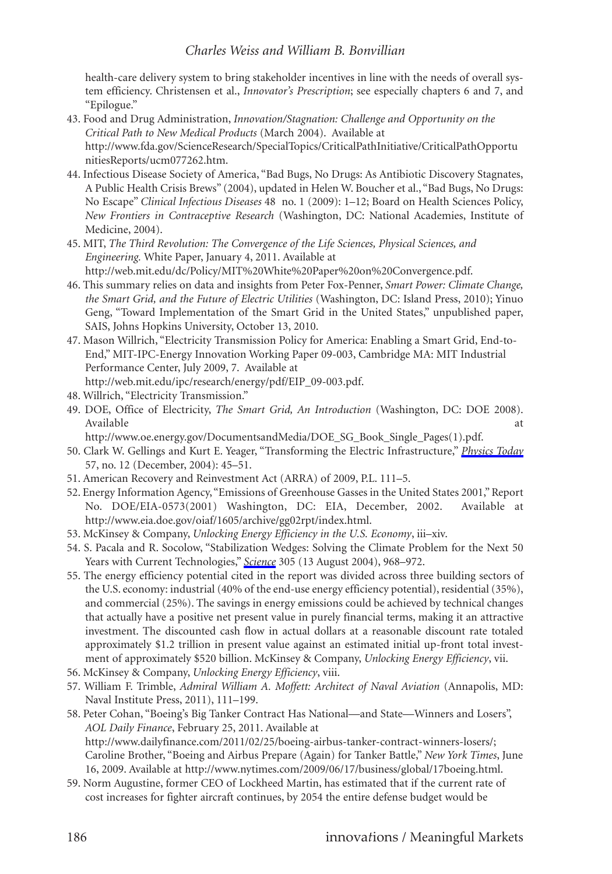health-care delivery system to bring stakeholder incentives in line with the needs of overall system efficiency. Christensen et al., *Innovator's Prescription*; see especially chapters 6 and 7, and "Epilogue."

- 43. Food and Drug Administration, *Innovation/Stagnation: Challenge and Opportunity on the Critical Path to New Medical Products* (March 2004). Available at http://www.fda.gov/ScienceResearch/SpecialTopics/CriticalPathInitiative/CriticalPathOpportu nitiesReports/ucm077262.htm.
- 44. Infectious Disease Society of America, "Bad Bugs, No Drugs: As Antibiotic Discovery Stagnates, A Public Health Crisis Brews" (2004), updated in Helen W. Boucher et al., "Bad Bugs, No Drugs: No Escape" *Clinical Infectious Diseases* 48 no. 1 (2009): 1–12; Board on Health Sciences Policy, *New Frontiers in Contraceptive Research* (Washington, DC: National Academies, Institute of Medicine, 2004).
- 45. MIT, *The Third Revolution: The Convergence of the Life Sciences, Physical Sciences, and Engineering.* White Paper, January 4, 2011. Available at http://web.mit.edu/dc/Policy/MIT%20White%20Paper%20on%20Convergence.pdf.
- 46. This summary relies on data and insights from Peter Fox-Penner, *Smart Power: Climate Change, the Smart Grid, and the Future of Electric Utilities* (Washington, DC: Island Press, 2010); Yinuo Geng, "Toward Implementation of the Smart Grid in the United States," unpublished paper, SAIS, Johns Hopkins University, October 13, 2010.
- 47. Mason Willrich, "Electricity Transmission Policy for America: Enabling a Smart Grid, End-to-End," MIT-IPC-Energy Innovation Working Paper 09-003, Cambridge MA: MIT Industrial Performance Center, July 2009, 7. Available at
	- http://web.mit.edu/ipc/research/energy/pdf/EIP\_09-003.pdf.
- 48. Willrich, "Electricity Transmission."
- 49. DOE, Office of Electricity, *The Smart Grid, An Introduction* (Washington, DC: DOE 2008). Available at the contract of the contract of the contract of the contract of the contract of the contract of the contract of the contract of the contract of the contract of the contract of the contract of the contract of t
	- http://www.oe.energy.gov/DocumentsandMedia/DOE\_SG\_Book\_Single\_Pages(1).pdf.
- 50. Clark W. Gellings and Kurt E. Yeager, "Transforming the Electric Infrastructure," *Physics Today* 57, no. 12 (December, 2004): 45–51.
- 51. American Recovery and Reinvestment Act (ARRA) of 2009, P.L. 111–5.
- 52. Energy Information Agency, "Emissions of Greenhouse Gasses in the United States 2001," Report No. DOE/EIA-0573(2001) Washington, DC: EIA, December, 2002. Available at http://www.eia.doe.gov/oiaf/1605/archive/gg02rpt/index.html.
- 53. McKinsey & Company, *Unlocking Energy Efficiency in the U.S. Economy*, iii–xiv.
- 54. S. Pacala and R. Socolow, "Stabilization Wedges: Solving the Climate Problem for the Next 50 Years with Current Technologies," *Science* 305 (13 August 2004), 968–972.
- 55. The energy efficiency potential cited in the report was divided across three building sectors of the U.S. economy: industrial (40% of the end-use energy efficiency potential), residential (35%), and commercial (25%). The savings in energy emissions could be achieved by technical changes that actually have a positive net present value in purely financial terms, making it an attractive investment. The discounted cash flow in actual dollars at a reasonable discount rate totaled approximately \$1.2 trillion in present value against an estimated initial up-front total investment of approximately \$520 billion. McKinsey & Company, *Unlocking Energy Efficiency*, vii.
- 56. McKinsey & Company, *Unlocking Energy Efficiency*, viii.
- 57. William F. Trimble, *Admiral William A. Moffett: Architect of Naval Aviation* (Annapolis, MD: Naval Institute Press, 2011), 111–199.
- 58. Peter Cohan, "Boeing's Big Tanker Contract Has National—and State—Winners and Losers", *AOL Daily Finance*, February 25, 2011. Available at http://www.dailyfinance.com/2011/02/25/boeing-airbus-tanker-contract-winners-losers/; Caroline Brother, "Boeing and Airbus Prepare (Again) for Tanker Battle," *New York Times*, June 16, 2009. Available at http://www.nytimes.com/2009/06/17/business/global/17boeing.html.
- 59. Norm Augustine, former CEO of Lockheed Martin, has estimated that if the current rate of cost increases for fighter aircraft continues, by 2054 the entire defense budget would be